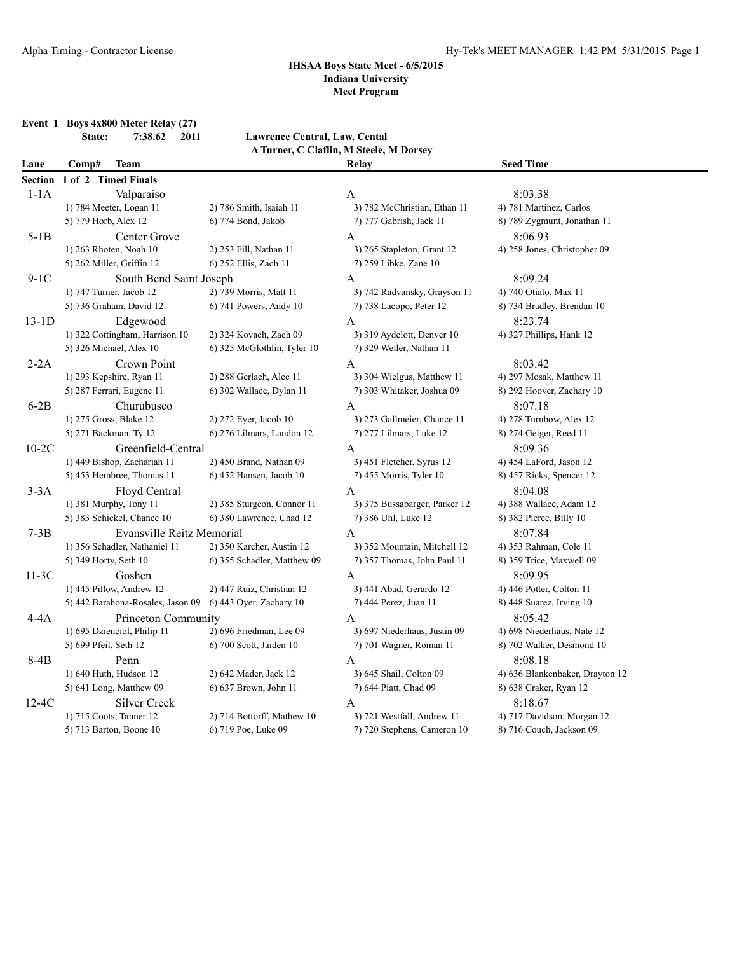**Event 1 Boys 4x800 Meter Relay (27) State: 7:38.62 2011 Lawrence Central, Law. Cental A Turner, C Claflin, M Steele, M Dorsey Lane Comp# Team Relay Seed Time Section 1 of 2 Timed Finals** 1-1A Valparaiso A 8:03.38 1) 784 Meeter, Logan 11 2) 786 Smith, Isaiah 11 3) 782 McChristian, Ethan 11 4) 781 Martinez, Carlos 5) 779 Horb, Alex 12 6) 774 Bond, Jakob 7) 777 Gabrish, Jack 11 8) 789 Zygmunt, Jonathan 11 5-1B Center Grove A 8:06.93 1) 263 Rhoten, Noah 10 2) 253 Fill, Nathan 11 3) 265 Stapleton, Grant 12 4) 258 Jones, Christopher 09 5) 262 Miller, Griffin 12 6) 252 Ellis, Zach 11 7) 259 Libke, Zane 10 9-1C South Bend Saint Joseph A 8:09.24 1) 747 Turner, Jacob 12 2) 739 Morris, Matt 11 3) 742 Radvansky, Grayson 11 4) 740 Otiato, Max 11 5) 736 Graham, David 12 6) 741 Powers, Andy 10 7) 738 Lacopo, Peter 12 8) 734 Bradley, Brendan 10 13-1D Edgewood A 8:23.74 1) 322 Cottingham, Harrison 10 2) 324 Kovach, Zach 09 3) 319 Aydelott, Denver 10 4) 327 Phillips, Hank 12 5) 326 Michael, Alex 10 6) 325 McGlothlin, Tyler 10 7) 329 Weller, Nathan 11  $2\text{-}2\text{-}A$  Crown Point  $\overline{A}$  A 8:03.42 1) 293 Kepshire, Ryan 11 2) 288 Gerlach, Alec 11 3) 304 Wielgus, Matthew 11 4) 297 Mosak, Matthew 11 5) 287 Ferrari, Eugene 11 6) 302 Wallace, Dylan 11 7) 303 Whitaker, Joshua 09 8) 292 Hoover, Zachary 10 6-2B Churubusco A 8:07.18 1) 275 Gross, Blake 12 2) 272 Eyer, Jacob 10 3) 273 Gallmeier, Chance 11 4) 278 Turnbow, Alex 12 5) 271 Backman, Ty 12 6) 276 Lilmars, Landon 12 7) 277 Lilmars, Luke 12 8) 274 Geiger, Reed 11 10-2C Greenfield-Central A 8:09.36 1) 449 Bishop, Zachariah 11 2) 450 Brand, Nathan 09 3) 451 Fletcher, Syrus 12 4) 454 LaFord, Jason 12 5) 453 Hembree, Thomas 11 6) 452 Hansen, Jacob 10 7) 455 Morris, Tyler 10 8) 457 Ricks, Spencer 12 3-3A Floyd Central A 8:04.08 1) 381 Murphy, Tony 11 2) 385 Sturgeon, Connor 11 3) 375 Bussabarger, Parker 12 4) 388 Wallace, Adam 12 5) 383 Schickel, Chance 10 6) 380 Lawrence, Chad 12 7) 386 Uhl, Luke 12 8) 382 Pierce, Billy 10 7-3B Evansville Reitz Memorial A 8:07.84 1) 356 Schadler, Nathaniel 11 2) 350 Karcher, Austin 12 3) 352 Mountain, Mitchell 12 4) 353 Rahman, Cole 11 5) 349 Horty, Seth 10 6) 355 Schadler, Matthew 09 7) 357 Thomas, John Paul 11 8) 359 Trice, Maxwell 09 11-3C Goshen A 8:09.95 1) 445 Pillow, Andrew 12 2) 447 Ruiz, Christian 12 3) 441 Abad, Gerardo 12 4) 446 Potter, Colton 11 5) 442 Barahona-Rosales, Jason 09 6) 443 Oyer, Zachary 10 7) 444 Perez, Juan 11 8) 448 Suarez, Irving 10 4-4A Princeton Community A<br>
1) 695 Dzienciol, Philip 11 2) 696 Friedman, Lee 09 3) 697 Niederhaus, Justin 09 4) 698 Nieder 2) 696 Friedman, Lee 09 3) 697 Niederhaus, Justin 09 4) 698 Niederhaus, Nate 12 5) 699 Pfeil, Seth 12 6) 700 Scott, Jaiden 10 7) 701 Wagner, Roman 11 8) 702 Walker, Desmond 10 8-4B Penn A 8:08.18 1) 640 Huth, Hudson 12 2) 642 Mader, Jack 12 3) 645 Shail, Colton 09 4) 636 Blankenbaker, Drayton 12 5) 641 Long, Matthew 09 6) 637 Brown, John 11 7) 644 Piatt, Chad 09 8) 638 Craker, Ryan 12 12-4C Silver Creek A 8:18.67 1) 715 Coots, Tanner 12 2) 714 Bottorff, Mathew 10 3) 721 Westfall, Andrew 11 4) 717 Davidson, Morgan 12 5) 713 Barton, Boone 10 6) 719 Poe, Luke 09 7) 720 Stephens, Cameron 10 8) 716 Couch, Jackson 09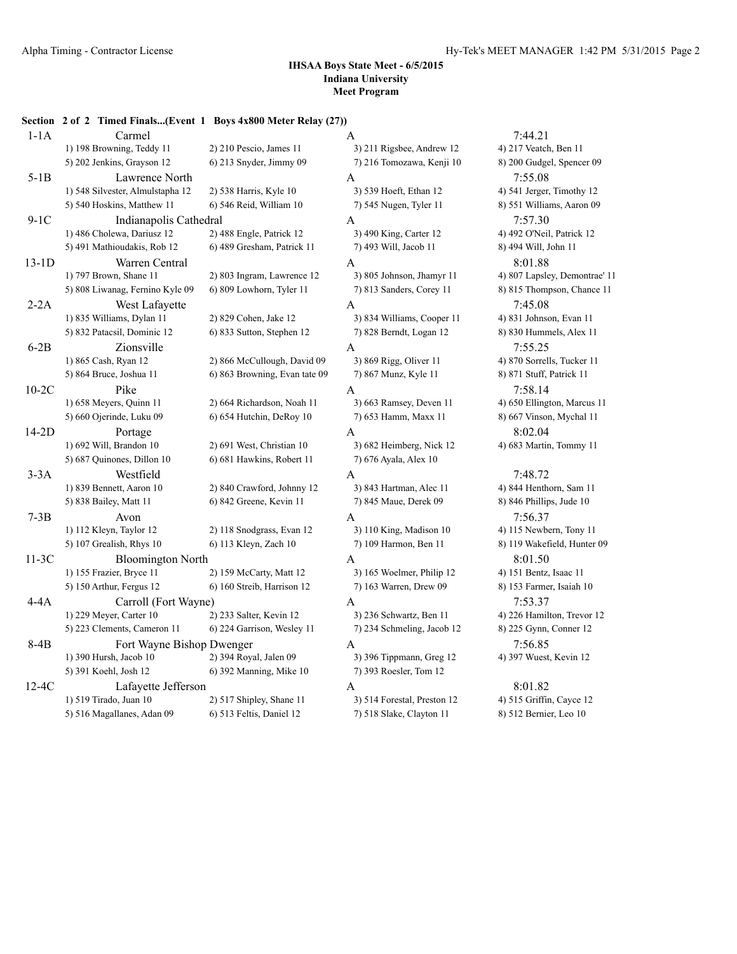# **Section 2 of 2 Timed Finals...(Event 1 Boys 4x800 Meter Relay (27))** 1-1A Carmel A 7:44.21 1) 198 Browning, Teddy 11 2) 210 Pescio, James 11 3) 211 Rigsbee, Andrew 12 4) 217 Veatch, Ben 11 5) 202 Jenkins, Grayson 12 6) 213 Snyder, Jimmy 09 7) 216 Tomozawa, Kenji 10 8) 200 Gudgel, Spencer 09 5-1B Lawrence North A 7:55.08 1) 548 Silvester, Almulstapha 12 2) 538 Harris, Kyle 10 3) 539 Hoeft, Ethan 12 4) 541 Jerger, Timothy 12 5) 540 Hoskins, Matthew 11 6) 546 Reid, William 10 7) 545 Nugen, Tyler 11 8) 551 Williams, Aaron 09 9-1C Indianapolis Cathedral A 7:57.30 1) 486 Cholewa, Dariusz 12 2) 488 Engle, Patrick 12 3) 490 King, Carter 12 4) 492 O'Neil, Patrick 12 5) 491 Mathioudakis, Rob 12 6) 489 Gresham, Patrick 11 7) 493 Will, Jacob 11 8) 494 Will, John 11 13-1D Warren Central A 8:01.88 1) 797 Brown, Shane 11 2) 803 Ingram, Lawrence 12 3) 805 Johnson, Jhamyr 11 4) 807 Lapsley, Demontrae' 11 5) 808 Liwanag, Fernino Kyle 09 6) 809 Lowhorn, Tyler 11 7) 813 Sanders, Corey 11 8) 815 Thompson, Chance 11 2-2A West Lafayette A 7:45.08 1) 835 Williams, Dylan 11 2) 829 Cohen, Jake 12 3) 834 Williams, Cooper 11 4) 831 Johnson, Evan 11 5) 832 Patacsil, Dominic 12 6) 833 Sutton, Stephen 12 7) 828 Berndt, Logan 12 8) 830 Hummels, Alex 11 6-2B Zionsville A 7:55.25 1) 865 Cash, Ryan 12 2) 866 McCullough, David 09 3) 869 Rigg, Oliver 11 4) 870 Sorrells, Tucker 11 5) 864 Bruce, Joshua 11 6) 863 Browning, Evan tate 09 7) 867 Munz, Kyle 11 8) 871 Stuff, Patrick 11 10-2C Pike A 7:58.14 1) 658 Meyers, Quinn 11 2) 664 Richardson, Noah 11 3) 663 Ramsey, Deven 11 4) 650 Ellington, Marcus 11 5) 660 Ojerinde, Luku 09 6) 654 Hutchin, DeRoy 10 7) 653 Hamm, Maxx 11 8) 667 Vinson, Mychal 11 14-2D Portage A 8:02.04 1) 692 Will, Brandon 10 2) 691 West, Christian 10 3) 682 Heimberg, Nick 12 4) 683 Martin, Tommy 11 5) 687 Quinones, Dillon 10 6) 681 Hawkins, Robert 11 7) 676 Ayala, Alex 10  $3-3A$  Westfield  $A$  7:48.72 1) 839 Bennett, Aaron 10 2) 840 Crawford, Johnny 12 3) 843 Hartman, Alec 11 4) 844 Henthorn, Sam 11 5) 838 Bailey, Matt 11 6) 842 Greene, Kevin 11 7) 845 Maue, Derek 09 8) 846 Phillips, Jude 10  $7-3B$  Avon A 7:56.37 1) 112 Kleyn, Taylor 12 2) 118 Snodgrass, Evan 12 3) 110 King, Madison 10 4) 115 Newbern, Tony 11 5) 107 Grealish, Rhys 10 6) 113 Kleyn, Zach 10 7) 109 Harmon, Ben 11 8) 119 Wakefield, Hunter 09 11-3C Bloomington North A 8:01.50 1) 155 Frazier, Bryce 11 2) 159 McCarty, Matt 12 3) 165 Woelmer, Philip 12 4) 151 Bentz, Isaac 11 5) 150 Arthur, Fergus 12 6) 160 Streib, Harrison 12 7) 163 Warren, Drew 09 8) 153 Farmer, Isaiah 10 4-4A Carroll (Fort Wayne) A 7:53.37<br>1) 229 Meyer, Carter 10 2) 233 Salter, Kevin 12 3) 236 Schwartz, Ben 11 4) 226 Hamil 4) 226 Hamilton, Trevor 12 5) 223 Clements, Cameron 11 6) 224 Garrison, Wesley 11 7) 234 Schmeling, Jacob 12 8) 225 Gynn, Conner 12 8-4B Fort Wayne Bishop Dwenger A 7:56.85 1) 390 Hursh, Jacob 10 2) 394 Royal, Jalen 09 3) 396 Tippmann, Greg 12 4) 397 Wuest, Kevin 12 5) 391 Koehl, Josh 12 6) 392 Manning, Mike 10 7) 393 Roesler, Tom 12 12-4C Lafayette Jefferson A 8:01.82 1) 519 Tirado, Juan 10 2) 517 Shipley, Shane 11 3) 514 Forestal, Preston 12 4) 515 Griffin, Cayce 12 5) 516 Magallanes, Adan 09 6) 513 Feltis, Daniel 12 7) 518 Slake, Clayton 11 8) 512 Bernier, Leo 10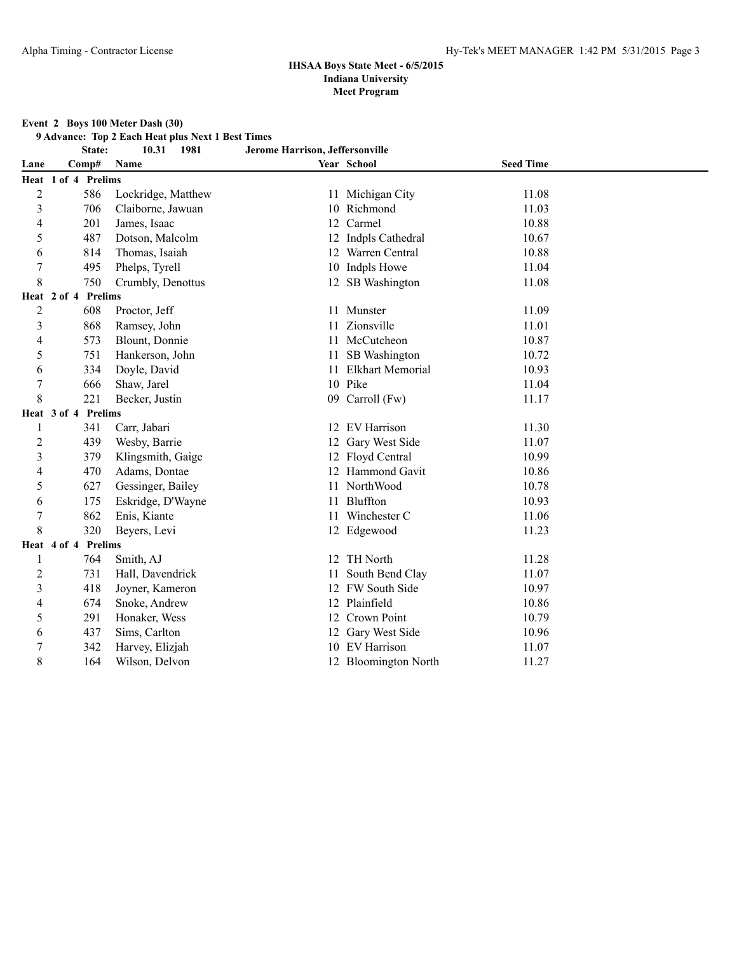#### **Event 2 Boys 100 Meter Dash (30)**

**9 Advance: Top 2 Each Heat plus Next 1 Best Times**

**State: 10.31 1981 Jerome Harrison, Jeffersonville**

| Lane                    | Comp#                         | Name               |    | Year School             | <b>Seed Time</b> |  |
|-------------------------|-------------------------------|--------------------|----|-------------------------|------------------|--|
|                         | Heat 1 of 4 Prelims           |                    |    |                         |                  |  |
| $\overline{c}$          | 586                           | Lockridge, Matthew |    | 11 Michigan City        | 11.08            |  |
| 3                       | 706                           | Claiborne, Jawuan  |    | 10 Richmond             | 11.03            |  |
| 4                       | 201                           | James, Isaac       |    | 12 Carmel               | 10.88            |  |
| 5                       | 487                           | Dotson, Malcolm    |    | 12 Indpls Cathedral     | 10.67            |  |
| 6                       | 814                           | Thomas, Isaiah     |    | 12 Warren Central       | 10.88            |  |
| 7                       | 495                           | Phelps, Tyrell     |    | 10 Indpls Howe          | 11.04            |  |
| 8                       | 750                           | Crumbly, Denottus  |    | 12 SB Washington        | 11.08            |  |
|                         | <b>Prelims</b><br>Heat 2 of 4 |                    |    |                         |                  |  |
| $\overline{c}$          | 608                           | Proctor, Jeff      |    | 11 Munster              | 11.09            |  |
| 3                       | 868                           | Ramsey, John       |    | Zionsville              | 11.01            |  |
| 4                       | 573                           | Blount, Donnie     |    | 11 McCutcheon           | 10.87            |  |
| 5                       | 751                           | Hankerson, John    | 11 | SB Washington           | 10.72            |  |
| 6                       | 334                           | Doyle, David       | 11 | <b>Elkhart Memorial</b> | 10.93            |  |
| 7                       | 666                           | Shaw, Jarel        |    | 10 Pike                 | 11.04            |  |
| 8                       | 221                           | Becker, Justin     | 09 | Carroll (Fw)            | 11.17            |  |
|                         | <b>Prelims</b><br>Heat 3 of 4 |                    |    |                         |                  |  |
|                         | 341                           | Carr, Jabari       |    | 12 EV Harrison          | 11.30            |  |
| $\overline{c}$          | 439                           | Wesby, Barrie      |    | 12 Gary West Side       | 11.07            |  |
| $\overline{\mathbf{3}}$ | 379                           | Klingsmith, Gaige  |    | 12 Floyd Central        | 10.99            |  |
| 4                       | 470                           | Adams, Dontae      |    | 12 Hammond Gavit        | 10.86            |  |
| 5                       | 627                           | Gessinger, Bailey  |    | 11 NorthWood            | 10.78            |  |
| 6                       | 175                           | Eskridge, D'Wayne  |    | Bluffton                | 10.93            |  |
| 7                       | 862                           | Enis, Kiante       |    | 11 Winchester C         | 11.06            |  |
| 8                       | 320                           | Beyers, Levi       |    | 12 Edgewood             | 11.23            |  |
|                         | Heat 4 of 4 Prelims           |                    |    |                         |                  |  |
|                         | 764                           | Smith, AJ          |    | 12 TH North             | 11.28            |  |
| $\overline{2}$          | 731                           | Hall, Davendrick   | 11 | South Bend Clay         | 11.07            |  |
| 3                       | 418                           | Joyner, Kameron    |    | 12 FW South Side        | 10.97            |  |
| 4                       | 674                           | Snoke, Andrew      |    | 12 Plainfield           | 10.86            |  |
| 5                       | 291                           | Honaker, Wess      |    | Crown Point             | 10.79            |  |
| 6                       | 437                           | Sims, Carlton      |    | 12 Gary West Side       | 10.96            |  |
| 7                       | 342                           | Harvey, Elizjah    | 10 | <b>EV Harrison</b>      | 11.07            |  |
| 8                       | 164                           | Wilson, Delvon     |    | 12 Bloomington North    | 11.27            |  |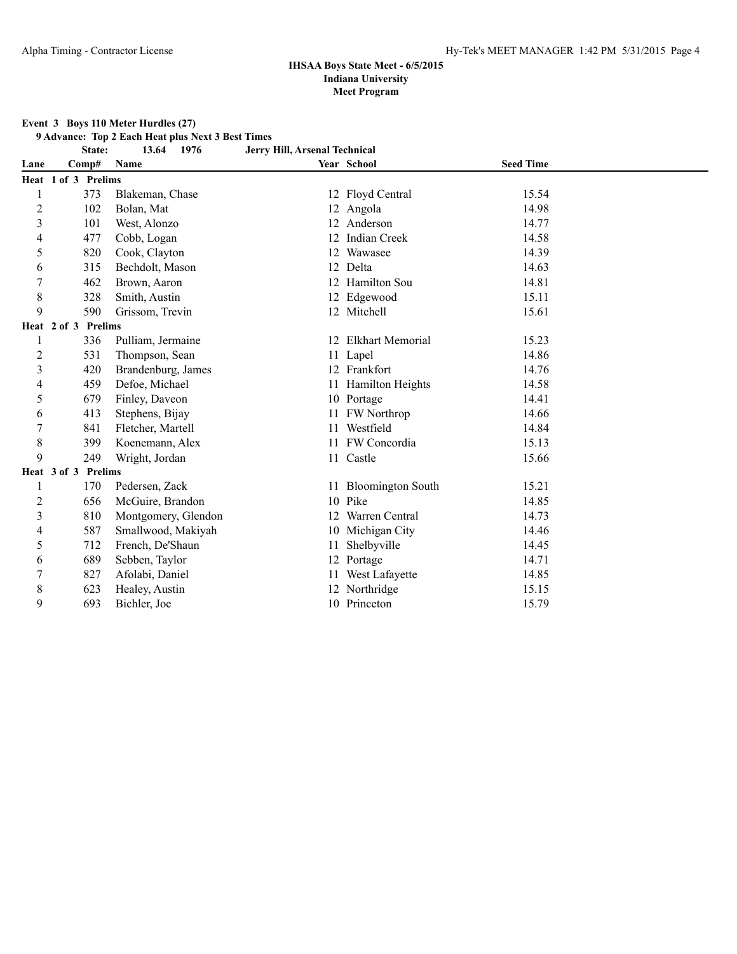**Event 3 Boys 110 Meter Hurdles (27)**

**9 Advance: Top 2 Each Heat plus Next 3 Best Times**

| <b>State:</b> | 13.64 | - 1976 |  | Jerry Hill, Arsenal Technical |  |
|---------------|-------|--------|--|-------------------------------|--|
|               |       |        |  |                               |  |

| Lane | Comp#                         | <b>Name</b>         |    | Year School          | <b>Seed Time</b> |  |
|------|-------------------------------|---------------------|----|----------------------|------------------|--|
|      | Heat 1 of 3 Prelims           |                     |    |                      |                  |  |
|      | 373                           | Blakeman, Chase     |    | 12 Floyd Central     | 15.54            |  |
| 2    | 102                           | Bolan, Mat          |    | 12 Angola            | 14.98            |  |
| 3    | 101                           | West, Alonzo        | 12 | Anderson             | 14.77            |  |
| 4    | 477                           | Cobb, Logan         |    | <b>Indian Creek</b>  | 14.58            |  |
| 5    | 820                           | Cook, Clayton       | 12 | Wawasee              | 14.39            |  |
| 6    | 315                           | Bechdolt, Mason     | 12 | Delta                | 14.63            |  |
| 7    | 462                           | Brown, Aaron        |    | 12 Hamilton Sou      | 14.81            |  |
| 8    | 328                           | Smith, Austin       |    | 12 Edgewood          | 15.11            |  |
| 9    | 590                           | Grissom, Trevin     |    | 12 Mitchell          | 15.61            |  |
|      | <b>Prelims</b><br>Heat 2 of 3 |                     |    |                      |                  |  |
| 1    | 336                           | Pulliam, Jermaine   |    | 12 Elkhart Memorial  | 15.23            |  |
| 2    | 531                           | Thompson, Sean      |    | 11 Lapel             | 14.86            |  |
| 3    | 420                           | Brandenburg, James  |    | 12 Frankfort         | 14.76            |  |
| 4    | 459                           | Defoe, Michael      |    | 11 Hamilton Heights  | 14.58            |  |
| 5    | 679                           | Finley, Daveon      |    | 10 Portage           | 14.41            |  |
| 6    | 413                           | Stephens, Bijay     |    | 11 FW Northrop       | 14.66            |  |
| 7    | 841                           | Fletcher, Martell   | 11 | Westfield            | 14.84            |  |
| 8    | 399                           | Koenemann, Alex     |    | 11 FW Concordia      | 15.13            |  |
| 9    | 249                           | Wright, Jordan      |    | 11 Castle            | 15.66            |  |
|      | <b>Prelims</b><br>Heat 3 of 3 |                     |    |                      |                  |  |
|      | 170                           | Pedersen, Zack      |    | 11 Bloomington South | 15.21            |  |
| 2    | 656                           | McGuire, Brandon    | 10 | Pike                 | 14.85            |  |
| 3    | 810                           | Montgomery, Glendon | 12 | Warren Central       | 14.73            |  |
| 4    | 587                           | Smallwood, Makiyah  |    | 10 Michigan City     | 14.46            |  |
| 5    | 712                           | French, De'Shaun    |    | Shelbyville          | 14.45            |  |
| 6    | 689                           | Sebben, Taylor      |    | 12 Portage           | 14.71            |  |
|      | 827                           | Afolabi, Daniel     |    | 11 West Lafayette    | 14.85            |  |
| 8    | 623                           | Healey, Austin      |    | 12 Northridge        | 15.15            |  |
| 9    | 693                           | Bichler, Joe        |    | 10 Princeton         | 15.79            |  |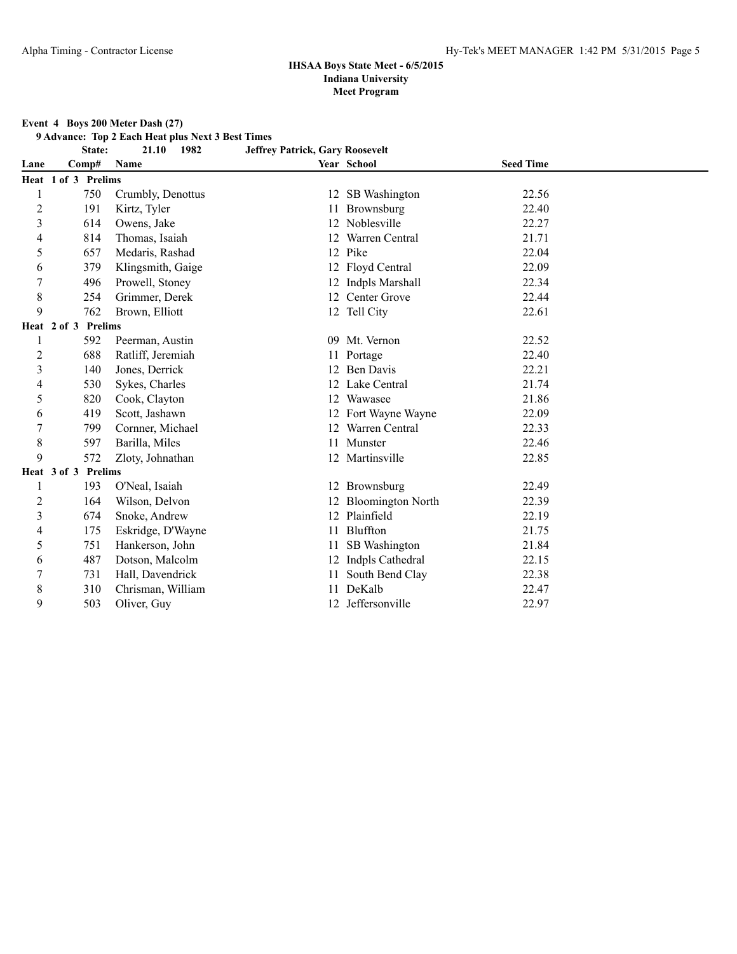#### **Event 4 Boys 200 Meter Dash (27)**

**9 Advance: Top 2 Each Heat plus Next 3 Best Times**

**State: 21.10 1982 Jeffrey Patrick, Gary Roosevelt**

| Lane           | Comp#                         | Name              |    | Year School          | <b>Seed Time</b> |  |
|----------------|-------------------------------|-------------------|----|----------------------|------------------|--|
|                | Heat 1 of 3 Prelims           |                   |    |                      |                  |  |
|                | 750                           | Crumbly, Denottus |    | 12 SB Washington     | 22.56            |  |
| $\overline{2}$ | 191                           | Kirtz, Tyler      | 11 | Brownsburg           | 22.40            |  |
| 3              | 614                           | Owens, Jake       |    | 12 Noblesville       | 22.27            |  |
| 4              | 814                           | Thomas, Isaiah    |    | 12 Warren Central    | 21.71            |  |
| 5              | 657                           | Medaris, Rashad   |    | 12 Pike              | 22.04            |  |
| 6              | 379                           | Klingsmith, Gaige |    | 12 Floyd Central     | 22.09            |  |
| 7              | 496                           | Prowell, Stoney   |    | 12 Indpls Marshall   | 22.34            |  |
| 8              | 254                           | Grimmer, Derek    |    | 12 Center Grove      | 22.44            |  |
| 9              | 762                           | Brown, Elliott    |    | 12 Tell City         | 22.61            |  |
|                | <b>Prelims</b><br>Heat 2 of 3 |                   |    |                      |                  |  |
|                | 592                           | Peerman, Austin   | 09 | Mt. Vernon           | 22.52            |  |
| 2              | 688                           | Ratliff, Jeremiah |    | Portage              | 22.40            |  |
| 3              | 140                           | Jones, Derrick    |    | 12 Ben Davis         | 22.21            |  |
| 4              | 530                           | Sykes, Charles    |    | 12 Lake Central      | 21.74            |  |
| 5              | 820                           | Cook, Clayton     |    | 12 Wawasee           | 21.86            |  |
| 6              | 419                           | Scott, Jashawn    |    | 12 Fort Wayne Wayne  | 22.09            |  |
| 7              | 799                           | Cornner, Michael  |    | 12 Warren Central    | 22.33            |  |
| 8              | 597                           | Barilla, Miles    |    | 11 Munster           | 22.46            |  |
| 9              | 572                           | Zloty, Johnathan  |    | 12 Martinsville      | 22.85            |  |
|                | Heat 3 of 3<br><b>Prelims</b> |                   |    |                      |                  |  |
|                | 193                           | O'Neal, Isaiah    |    | 12 Brownsburg        | 22.49            |  |
| 2              | 164                           | Wilson, Delvon    |    | 12 Bloomington North | 22.39            |  |
| 3              | 674                           | Snoke, Andrew     |    | 12 Plainfield        | 22.19            |  |
| 4              | 175                           | Eskridge, D'Wayne |    | 11 Bluffton          | 21.75            |  |
| 5              | 751                           | Hankerson, John   | 11 | SB Washington        | 21.84            |  |
| 6              | 487                           | Dotson, Malcolm   |    | 12 Indpls Cathedral  | 22.15            |  |
| 7              | 731                           | Hall, Davendrick  |    | 11 South Bend Clay   | 22.38            |  |
| 8              | 310                           | Chrisman, William |    | DeKalb               | 22.47            |  |
| 9              | 503                           | Oliver, Guy       |    | 12 Jeffersonville    | 22.97            |  |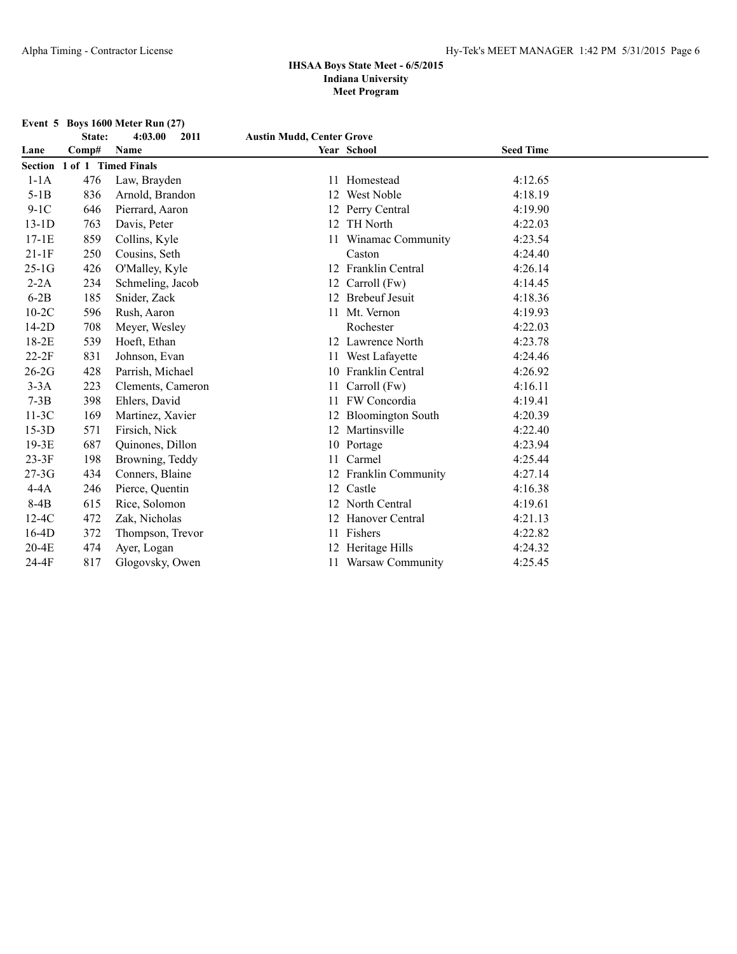**Event 5 Boys 1600 Meter Run (27)**

|         | State:                             | 4:03.00<br>2011   | <b>Austin Mudd, Center Grove</b> |                           |                  |  |
|---------|------------------------------------|-------------------|----------------------------------|---------------------------|------------------|--|
| Lane    | Comp#                              | <b>Name</b>       |                                  | Year School               | <b>Seed Time</b> |  |
|         | <b>Section 1 of 1 Timed Finals</b> |                   |                                  |                           |                  |  |
| $1-1A$  | 476                                | Law, Brayden      |                                  | 11 Homestead              | 4:12.65          |  |
| $5-1B$  | 836                                | Arnold, Brandon   | 12                               | <b>West Noble</b>         | 4:18.19          |  |
| $9-1C$  | 646                                | Pierrard, Aaron   |                                  | 12 Perry Central          | 4:19.90          |  |
| $13-1D$ | 763                                | Davis, Peter      |                                  | 12 TH North               | 4:22.03          |  |
| $17-1E$ | 859                                | Collins, Kyle     |                                  | 11 Winamac Community      | 4:23.54          |  |
| $21-1F$ | 250                                | Cousins, Seth     |                                  | Caston                    | 4:24.40          |  |
| $25-1G$ | 426                                | O'Malley, Kyle    |                                  | 12 Franklin Central       | 4:26.14          |  |
| $2-2A$  | 234                                | Schmeling, Jacob  | 12                               | Carroll (Fw)              | 4:14.45          |  |
| $6-2B$  | 185                                | Snider, Zack      |                                  | 12 Brebeuf Jesuit         | 4:18.36          |  |
| $10-2C$ | 596                                | Rush, Aaron       |                                  | 11 Mt. Vernon             | 4:19.93          |  |
| $14-2D$ | 708                                | Meyer, Wesley     |                                  | Rochester                 | 4:22.03          |  |
| 18-2E   | 539                                | Hoeft, Ethan      |                                  | 12 Lawrence North         | 4:23.78          |  |
| $22-2F$ | 831                                | Johnson, Evan     | 11                               | West Lafayette            | 4:24.46          |  |
| $26-2G$ | 428                                | Parrish, Michael  | 10                               | <b>Franklin Central</b>   | 4:26.92          |  |
| $3-3A$  | 223                                | Clements, Cameron | 11                               | Carroll (Fw)              | 4:16.11          |  |
| $7-3B$  | 398                                | Ehlers, David     | 11                               | FW Concordia              | 4:19.41          |  |
| $11-3C$ | 169                                | Martinez, Xavier  |                                  | <b>Bloomington South</b>  | 4:20.39          |  |
| $15-3D$ | 571                                | Firsich, Nick     | 12                               | Martinsville              | 4:22.40          |  |
| $19-3E$ | 687                                | Quinones, Dillon  | 10                               | Portage                   | 4:23.94          |  |
| $23-3F$ | 198                                | Browning, Teddy   | 11                               | Carmel                    | 4:25.44          |  |
| $27-3G$ | 434                                | Conners, Blaine   | 12                               | <b>Franklin Community</b> | 4:27.14          |  |
| $4-4A$  | 246                                | Pierce, Quentin   | 12                               | Castle                    | 4:16.38          |  |
| $8-4B$  | 615                                | Rice, Solomon     | 12                               | North Central             | 4:19.61          |  |
| $12-4C$ | 472                                | Zak, Nicholas     |                                  | Hanover Central           | 4:21.13          |  |
| $16-4D$ | 372                                | Thompson, Trevor  | 11                               | Fishers                   | 4:22.82          |  |
| $20-4E$ | 474                                | Ayer, Logan       |                                  | Heritage Hills            | 4:24.32          |  |
| 24-4F   | 817                                | Glogovsky, Owen   | 11                               | Warsaw Community          | 4:25.45          |  |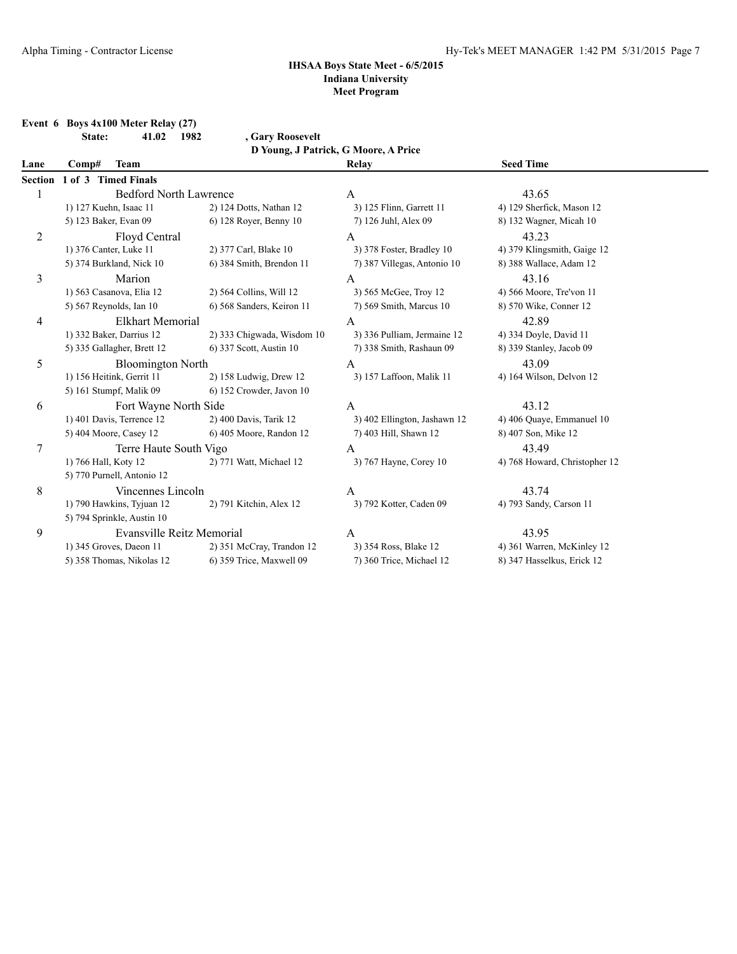**Event 6 Boys 4x100 Meter Relay (27)**

**State: 41.02 1982 , Gary Roosevelt D Young, J Patrick, G Moore, A Price**

| Lane   | Comp#                       | <b>Team</b>                   |                            | Relay                        | <b>Seed Time</b>              |  |
|--------|-----------------------------|-------------------------------|----------------------------|------------------------------|-------------------------------|--|
|        | Section 1 of 3 Timed Finals |                               |                            |                              |                               |  |
|        |                             | <b>Bedford North Lawrence</b> |                            | A                            | 43.65                         |  |
|        |                             | 1) 127 Kuehn, Isaac 11        | 2) 124 Dotts, Nathan 12    | 3) 125 Flinn, Garrett 11     | 4) 129 Sherfick, Mason 12     |  |
|        | 5) 123 Baker, Evan 09       |                               | 6) 128 Royer, Benny 10     | 7) 126 Juhl, Alex 09         | 8) 132 Wagner, Micah 10       |  |
| 2      |                             | Floyd Central                 |                            | A                            | 43.23                         |  |
|        |                             | 1) 376 Canter, Luke 11        | 2) 377 Carl, Blake 10      | 3) 378 Foster, Bradley 10    | 4) 379 Klingsmith, Gaige 12   |  |
|        |                             | 5) 374 Burkland, Nick 10      | 6) 384 Smith, Brendon 11   | 7) 387 Villegas, Antonio 10  | 8) 388 Wallace, Adam 12       |  |
| 3      |                             | Marion                        |                            | A                            | 43.16                         |  |
|        |                             | 1) 563 Casanova, Elia 12      | 2) 564 Collins, Will 12    | 3) 565 McGee, Troy 12        | 4) 566 Moore, Tre'von 11      |  |
|        |                             | 5) 567 Reynolds, Ian 10       | 6) 568 Sanders, Keiron 11  | 7) 569 Smith, Marcus 10      | 8) 570 Wike, Conner 12        |  |
| 4      |                             | Elkhart Memorial              |                            | A                            | 42.89                         |  |
|        |                             | 1) 332 Baker, Darrius 12      | 2) 333 Chigwada, Wisdom 10 | 3) 336 Pulliam, Jermaine 12  | 4) 334 Doyle, David 11        |  |
|        |                             | 5) 335 Gallagher, Brett 12    | 6) 337 Scott, Austin 10    | 7) 338 Smith, Rashaun 09     | 8) 339 Stanley, Jacob 09      |  |
| 5      |                             | <b>Bloomington North</b>      |                            | A                            | 43.09                         |  |
|        |                             | 1) 156 Heitink, Gerrit 11     | 2) 158 Ludwig, Drew 12     | 3) 157 Laffoon, Malik 11     | 4) 164 Wilson, Delvon 12      |  |
|        |                             | 5) 161 Stumpf, Malik 09       | 6) 152 Crowder, Javon 10   |                              |                               |  |
| 6      |                             | Fort Wayne North Side         |                            | A                            | 43.12                         |  |
|        |                             | 1) 401 Davis, Terrence 12     | 2) 400 Davis, Tarik 12     | 3) 402 Ellington, Jashawn 12 | 4) 406 Quaye, Emmanuel 10     |  |
|        |                             | 5) 404 Moore, Casey 12        | 6) 405 Moore, Randon 12    | 7) 403 Hill, Shawn 12        | 8) 407 Son, Mike 12           |  |
| $\tau$ |                             | Terre Haute South Vigo        |                            | A                            | 43.49                         |  |
|        | 1) 766 Hall, Koty 12        |                               | 2) 771 Watt, Michael 12    | 3) 767 Hayne, Corey 10       | 4) 768 Howard, Christopher 12 |  |
|        |                             | 5) 770 Purnell, Antonio 12    |                            |                              |                               |  |
| 8      |                             | Vincennes Lincoln             |                            | А                            | 43.74                         |  |
|        |                             | 1) 790 Hawkins, Tyjuan 12     | 2) 791 Kitchin, Alex 12    | 3) 792 Kotter, Caden 09      | 4) 793 Sandy, Carson 11       |  |
|        |                             | 5) 794 Sprinkle, Austin 10    |                            |                              |                               |  |
| 9      |                             | Evansville Reitz Memorial     |                            | A                            | 43.95                         |  |
|        |                             | 1) 345 Groves, Daeon 11       | 2) 351 McCray, Trandon 12  | 3) 354 Ross, Blake 12        | 4) 361 Warren, McKinley 12    |  |
|        |                             | 5) 358 Thomas, Nikolas 12     | 6) 359 Trice, Maxwell 09   | 7) 360 Trice, Michael 12     | 8) 347 Hasselkus, Erick 12    |  |
|        |                             |                               |                            |                              |                               |  |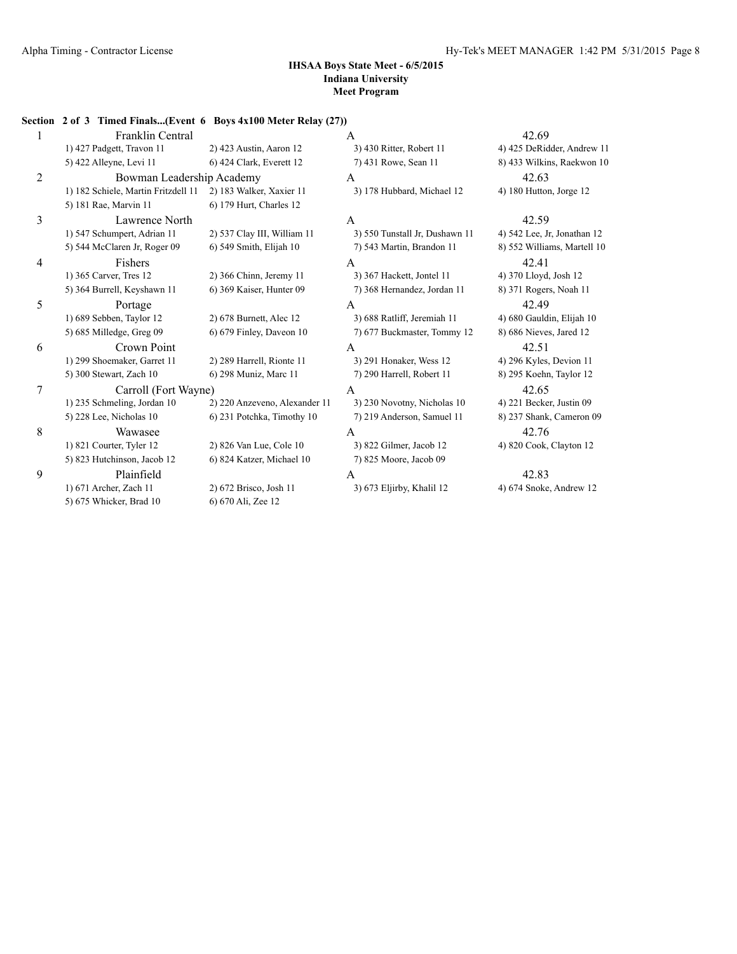|                | Section 2 of 3 Timed Finals(Event 6 Boys 4x100 Meter Relay (27)) |                               |                                |                             |
|----------------|------------------------------------------------------------------|-------------------------------|--------------------------------|-----------------------------|
|                | Franklin Central                                                 | A                             |                                | 42.69                       |
|                | 1) 427 Padgett, Travon 11                                        | 2) 423 Austin, Aaron 12       | 3) 430 Ritter, Robert 11       | 4) 425 DeRidder, Andrew 11  |
|                | 5) 422 Alleyne, Levi 11                                          | 6) 424 Clark, Everett 12      | 7) 431 Rowe, Sean 11           | 8) 433 Wilkins, Raekwon 10  |
| $\overline{c}$ | Bowman Leadership Academy                                        |                               | A                              | 42.63                       |
|                | 1) 182 Schiele, Martin Fritzdell 11                              | 2) 183 Walker, Xaxier 11      | 3) 178 Hubbard, Michael 12     | 4) 180 Hutton, Jorge 12     |
|                | 5) 181 Rae, Marvin 11                                            | 6) 179 Hurt, Charles 12       |                                |                             |
| 3              | Lawrence North                                                   |                               | A                              | 42.59                       |
|                | 1) 547 Schumpert, Adrian 11                                      | 2) 537 Clay III, William 11   | 3) 550 Tunstall Jr, Dushawn 11 | 4) 542 Lee, Jr, Jonathan 12 |
|                | 5) 544 McClaren Jr, Roger 09                                     | 6) 549 Smith, Elijah 10       | 7) 543 Martin, Brandon 11      | 8) 552 Williams, Martell 10 |
| 4              | Fishers                                                          |                               | A                              | 42.41                       |
|                | 1) 365 Carver, Tres 12                                           | 2) 366 Chinn, Jeremy 11       | 3) 367 Hackett, Jontel 11      | 4) 370 Lloyd, Josh 12       |
|                | 5) 364 Burrell, Keyshawn 11                                      | 6) 369 Kaiser, Hunter 09      | 7) 368 Hernandez, Jordan 11    | 8) 371 Rogers, Noah 11      |
| 5              | Portage                                                          |                               | A                              | 42.49                       |
|                | 1) 689 Sebben, Taylor 12                                         | 2) 678 Burnett, Alec 12       | 3) 688 Ratliff, Jeremiah 11    | 4) 680 Gauldin, Elijah 10   |
|                | 5) 685 Milledge, Greg 09                                         | 6) 679 Finley, Daveon 10      | 7) 677 Buckmaster, Tommy 12    | 8) 686 Nieves, Jared 12     |
| 6              | Crown Point                                                      |                               | A                              | 42.51                       |
|                | 1) 299 Shoemaker, Garret 11                                      | 2) 289 Harrell, Rionte 11     | 3) 291 Honaker, Wess 12        | 4) 296 Kyles, Devion 11     |
|                | 5) 300 Stewart, Zach 10                                          | 6) 298 Muniz, Marc 11         | 7) 290 Harrell, Robert 11      | 8) 295 Koehn, Taylor 12     |
| 7              | Carroll (Fort Wayne)                                             |                               | $\mathsf{A}$                   | 42.65                       |
|                | 1) 235 Schmeling, Jordan 10                                      | 2) 220 Anzeveno, Alexander 11 | 3) 230 Novotny, Nicholas 10    | 4) 221 Becker, Justin 09    |
|                | 5) 228 Lee, Nicholas 10                                          | 6) 231 Potchka, Timothy 10    | 7) 219 Anderson, Samuel 11     | 8) 237 Shank, Cameron 09    |
| 8              | Wawasee                                                          |                               | A                              | 42.76                       |
|                | 1) 821 Courter, Tyler 12                                         | 2) 826 Van Lue, Cole 10       | 3) 822 Gilmer, Jacob 12        | 4) 820 Cook, Clayton 12     |
|                | 5) 823 Hutchinson, Jacob 12                                      | 6) 824 Katzer, Michael 10     | 7) 825 Moore, Jacob 09         |                             |
| 9              | Plainfield                                                       |                               | A                              | 42.83                       |
|                | 1) 671 Archer, Zach 11                                           | 2) 672 Brisco, Josh 11        | 3) 673 Eljirby, Khalil 12      | 4) 674 Snoke, Andrew 12     |
|                | 5) 675 Whicker, Brad 10                                          | 6) 670 Ali, Zee 12            |                                |                             |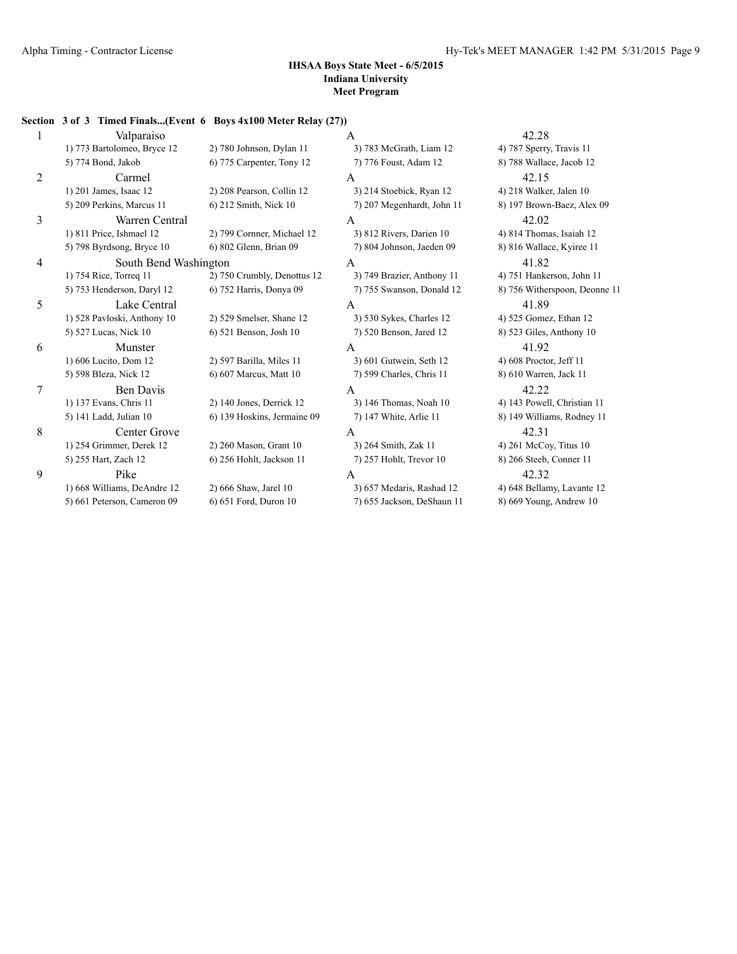#### **Section 3 of 3 Timed Finals...(Event 6 Boys 4x100 Meter Relay (27))**

| $\mathbf{1}$   | Valparaiso                  |                             | A                          | 42.28         |
|----------------|-----------------------------|-----------------------------|----------------------------|---------------|
|                | 1) 773 Bartolomeo, Bryce 12 | 2) 780 Johnson, Dylan 11    | 3) 783 McGrath, Liam 12    | 4) 787 Sperry |
|                | 5) 774 Bond, Jakob          | 6) 775 Carpenter, Tony 12   | 7) 776 Foust, Adam 12      | 8) 788 Walla  |
| $\overline{2}$ | Carmel                      |                             | A                          | 42.15         |
|                | 1) 201 James, Isaac 12      | 2) 208 Pearson, Collin 12   | 3) 214 Stoebick, Ryan 12   | 4) 218 Walke  |
|                | 5) 209 Perkins, Marcus 11   | 6) 212 Smith, Nick 10       | 7) 207 Megenhardt, John 11 | 8) 197 Brown  |
| 3              | Warren Central              |                             | A                          | 42.02         |
|                | 1) 811 Price, Ishmael 12    | 2) 799 Cornner, Michael 12  | 3) 812 Rivers, Darien 10   | 4) 814 Thom   |
|                | 5) 798 Byrdsong, Bryce 10   | 6) 802 Glenn, Brian 09      | 7) 804 Johnson, Jaeden 09  | 8) 816 Walla  |
| 4              | South Bend Washington       |                             | A                          | 41.82         |
|                | 1) 754 Rice, Torreq 11      | 2) 750 Crumbly, Denottus 12 | 3) 749 Brazier, Anthony 11 | 4) 751 Hanke  |
|                | 5) 753 Henderson, Daryl 12  | 6) 752 Harris, Donya 09     | 7) 755 Swanson, Donald 12  | 8) 756 Withe  |
| 5              | Lake Central                |                             | $\mathsf{A}$               | 41.89         |
|                | 1) 528 Pavloski, Anthony 10 | 2) 529 Smelser, Shane 12    | 3) 530 Sykes, Charles 12   | 4) 525 Gome   |
|                | 5) 527 Lucas, Nick 10       | 6) 521 Benson, Josh 10      | 7) 520 Benson, Jared 12    | 8) 523 Giles, |
| 6              | Munster                     |                             | A                          | 41.92         |
|                | 1) 606 Lucito, Dom 12       | 2) 597 Barilla, Miles 11    | 3) 601 Gutwein, Seth 12    | 4) 608 Procto |
|                | 5) 598 Bleza, Nick 12       | 6) 607 Marcus, Matt 10      | 7) 599 Charles, Chris 11   | 8) 610 Warre  |
| 7              | <b>Ben Davis</b>            |                             | A                          | 42.22         |
|                | 1) 137 Evans, Chris 11      | 2) 140 Jones, Derrick 12    | 3) 146 Thomas, Noah 10     | 4) 143 Powel  |
|                | 5) 141 Ladd, Julian 10      | 6) 139 Hoskins, Jermaine 09 | 7) 147 White, Arlie 11     | 8) 149 Willia |
| 8              | Center Grove                |                             | A                          | 42.31         |
|                | 1) 254 Grimmer, Derek 12    | 2) 260 Mason, Grant 10      | 3) 264 Smith, Zak 11       | 4) 261 McCo   |
|                | 5) 255 Hart, Zach 12        | 6) 256 Hohlt, Jackson 11    | 7) 257 Hohlt, Trevor 10    | 8) 266 Steeb, |
| 9              | Pike                        |                             | A                          | 42.32         |
|                | 1) 668 Williams, DeAndre 12 | 2) 666 Shaw, Jarel 10       | 3) 657 Medaris, Rashad 12  | 4) 648 Bellar |
|                | 5) 661 Peterson, Cameron 09 | 6) 651 Ford, Duron 10       | 7) 655 Jackson, DeShaun 11 | 8) 669 Young  |

4) 787 Sperry, Travis 11 8) 788 Wallace, Jacob 12 4) 218 Walker, Jalen 10 8) 197 Brown-Baez, Alex 09 4) 814 Thomas, Isaiah 12 8) 816 Wallace, Kyiree 11 4) 751 Hankerson, John 11 8) 756 Witherspoon, Deonne 11 4) 525 Gomez, Ethan 12 8) 523 Giles, Anthony 10 4) 608 Proctor, Jeff 11 8) 610 Warren, Jack 11 4) 143 Powell, Christian 11 8) 149 Williams, Rodney 11 4) 261 McCoy, Titus 10 8) 266 Steeb, Conner 11 4) 648 Bellamy, Lavante 12 8) 669 Young, Andrew 10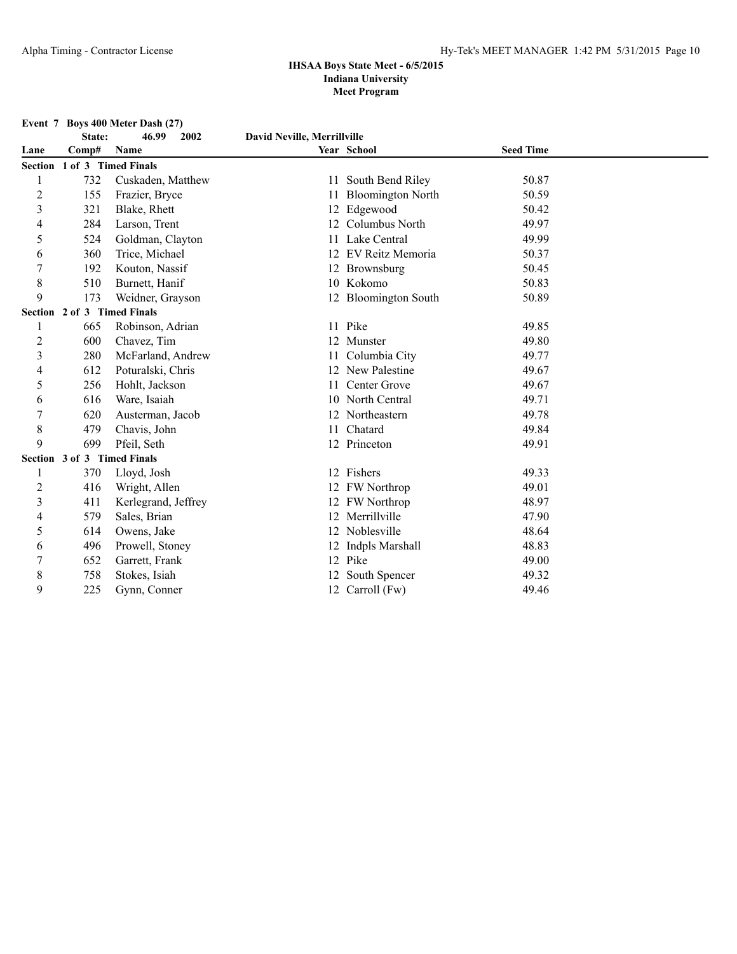**Event 7 Boys 400 Meter Dash (27)**<br>**State:** 46.99 2002

|                | State:                      | 46.99<br>2002       | David Neville, Merrillville |                          |                  |  |
|----------------|-----------------------------|---------------------|-----------------------------|--------------------------|------------------|--|
| Lane           | Comp#                       | Name                |                             | Year School              | <b>Seed Time</b> |  |
|                | Section 1 of 3 Timed Finals |                     |                             |                          |                  |  |
| 1              | 732                         | Cuskaden, Matthew   |                             | 11 South Bend Riley      | 50.87            |  |
| 2              | 155                         | Frazier, Bryce      | 11                          | <b>Bloomington North</b> | 50.59            |  |
| 3              | 321                         | Blake, Rhett        | 12                          | Edgewood                 | 50.42            |  |
| 4              | 284                         | Larson, Trent       |                             | Columbus North           | 49.97            |  |
| 5              | 524                         | Goldman, Clayton    | 11                          | Lake Central             | 49.99            |  |
| 6              | 360                         | Trice, Michael      | 12                          | EV Reitz Memoria         | 50.37            |  |
| 7              | 192                         | Kouton, Nassif      |                             | Brownsburg               | 50.45            |  |
| 8              | 510                         | Burnett, Hanif      | 10                          | Kokomo                   | 50.83            |  |
| 9              | 173                         | Weidner, Grayson    |                             | 12 Bloomington South     | 50.89            |  |
|                | Section 2 of 3 Timed Finals |                     |                             |                          |                  |  |
|                | 665                         | Robinson, Adrian    |                             | 11 Pike                  | 49.85            |  |
| $\overline{c}$ | 600                         | Chavez, Tim         | 12                          | Munster                  | 49.80            |  |
| 3              | 280                         | McFarland, Andrew   |                             | Columbia City            | 49.77            |  |
| 4              | 612                         | Poturalski, Chris   |                             | 12 New Palestine         | 49.67            |  |
| 5              | 256                         | Hohlt, Jackson      | 11                          | Center Grove             | 49.67            |  |
| 6              | 616                         | Ware, Isaiah        |                             | 10 North Central         | 49.71            |  |
|                | 620                         | Austerman, Jacob    | 12                          | Northeastern             | 49.78            |  |
| 8              | 479                         | Chavis, John        | 11                          | Chatard                  | 49.84            |  |
| 9              | 699                         | Pfeil, Seth         |                             | 12 Princeton             | 49.91            |  |
|                | Section 3 of 3 Timed Finals |                     |                             |                          |                  |  |
|                | 370                         | Lloyd, Josh         | 12                          | Fishers                  | 49.33            |  |
| $\overline{c}$ | 416                         | Wright, Allen       | 12                          | <b>FW</b> Northrop       | 49.01            |  |
| 3              | 411                         | Kerlegrand, Jeffrey |                             | 12 FW Northrop           | 48.97            |  |
| 4              | 579                         | Sales, Brian        | 12                          | Merrillville             | 47.90            |  |
| 5              | 614                         | Owens, Jake         | 12                          | Noblesville              | 48.64            |  |
| 6              | 496                         | Prowell, Stoney     |                             | <b>Indpls Marshall</b>   | 48.83            |  |
| 7              | 652                         | Garrett, Frank      | 12                          | Pike                     | 49.00            |  |
| 8              | 758                         | Stokes, Isiah       |                             | South Spencer            | 49.32            |  |
| 9              | 225                         | Gynn, Conner        |                             | 12 Carroll (Fw)          | 49.46            |  |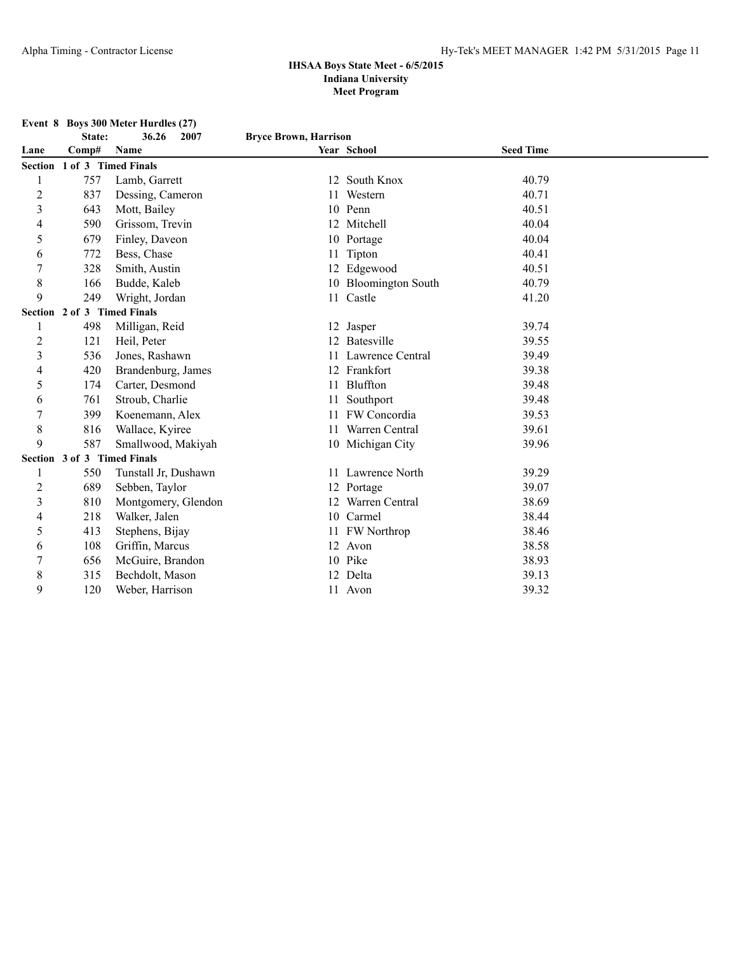**Event 8 Boys 300 Meter Hurdles (27)**

|                | State:                      | 2007<br>36.26        | <b>Bryce Brown, Harrison</b> |                      |                  |  |
|----------------|-----------------------------|----------------------|------------------------------|----------------------|------------------|--|
| Lane           | Comp#                       | Name                 |                              | Year School          | <b>Seed Time</b> |  |
|                | Section 1 of 3 Timed Finals |                      |                              |                      |                  |  |
| 1              | 757                         | Lamb, Garrett        | 12                           | South Knox           | 40.79            |  |
| 2              | 837                         | Dessing, Cameron     | 11                           | Western              | 40.71            |  |
| 3              | 643                         | Mott, Bailey         | 10                           | Penn                 | 40.51            |  |
| 4              | 590                         | Grissom, Trevin      |                              | Mitchell             | 40.04            |  |
| 5              | 679                         | Finley, Daveon       |                              | 10 Portage           | 40.04            |  |
| 6              | 772                         | Bess, Chase          | 11                           | Tipton               | 40.41            |  |
|                | 328                         | Smith, Austin        |                              | 12 Edgewood          | 40.51            |  |
| 8              | 166                         | Budde, Kaleb         |                              | 10 Bloomington South | 40.79            |  |
| 9              | 249                         | Wright, Jordan       |                              | 11 Castle            | 41.20            |  |
|                | Section 2 of 3 Timed Finals |                      |                              |                      |                  |  |
|                | 498                         | Milligan, Reid       |                              | 12 Jasper            | 39.74            |  |
| $\overline{c}$ | 121                         | Heil, Peter          | 12                           | Batesville           | 39.55            |  |
| 3              | 536                         | Jones, Rashawn       |                              | Lawrence Central     | 39.49            |  |
| 4              | 420                         | Brandenburg, James   | 12                           | Frankfort            | 39.38            |  |
| 5              | 174                         | Carter, Desmond      | 11                           | Bluffton             | 39.48            |  |
| 6              | 761                         | Stroub, Charlie      |                              | Southport            | 39.48            |  |
|                | 399                         | Koenemann, Alex      | 11                           | FW Concordia         | 39.53            |  |
| 8              | 816                         | Wallace, Kyiree      |                              | Warren Central       | 39.61            |  |
| 9              | 587                         | Smallwood, Makiyah   |                              | 10 Michigan City     | 39.96            |  |
|                | Section 3 of 3 Timed Finals |                      |                              |                      |                  |  |
|                | 550                         | Tunstall Jr, Dushawn | 11.                          | Lawrence North       | 39.29            |  |
| $\overline{2}$ | 689                         | Sebben, Taylor       |                              | 12 Portage           | 39.07            |  |
| 3              | 810                         | Montgomery, Glendon  | 12                           | Warren Central       | 38.69            |  |
| 4              | 218                         | Walker, Jalen        |                              | 10 Carmel            | 38.44            |  |
| 5              | 413                         | Stephens, Bijay      |                              | 11 FW Northrop       | 38.46            |  |
| 6              | 108                         | Griffin, Marcus      |                              | 12 Avon              | 38.58            |  |
|                | 656                         | McGuire, Brandon     |                              | 10 Pike              | 38.93            |  |
| 8              | 315                         | Bechdolt, Mason      |                              | 12 Delta             | 39.13            |  |
| 9              | 120                         | Weber, Harrison      |                              | 11 Avon              | 39.32            |  |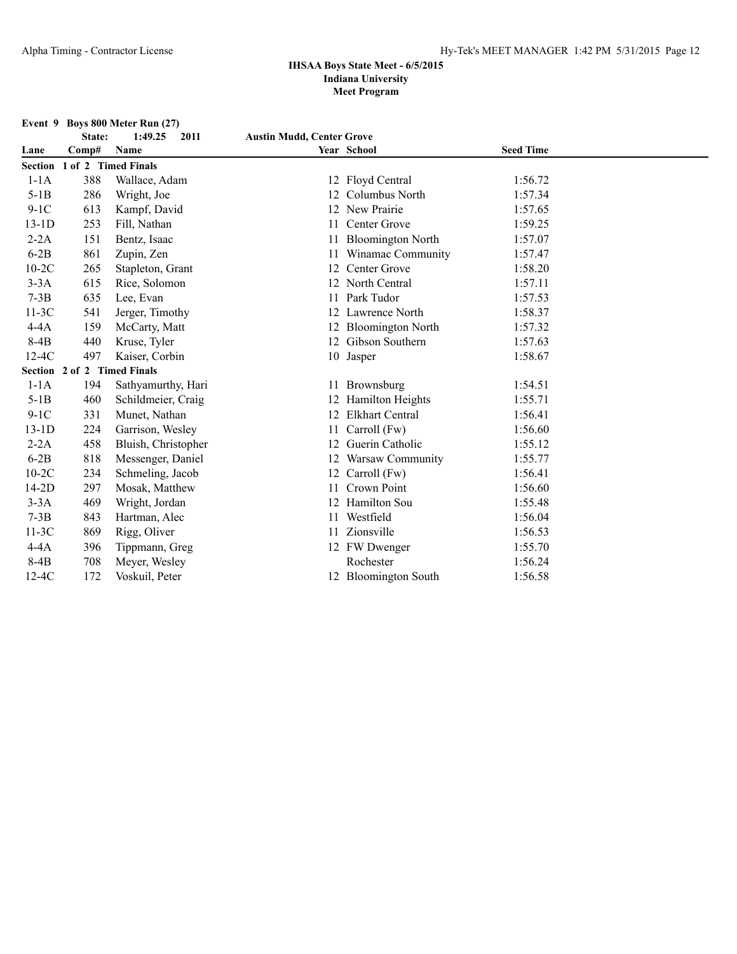**Event 9 Boys 800 Meter Run (27)**

|         | State: | 1:49.25<br>2011             | <b>Austin Mudd, Center Grove</b> |                          |                  |  |
|---------|--------|-----------------------------|----------------------------------|--------------------------|------------------|--|
| Lane    | Comp#  | Name                        |                                  | Year School              | <b>Seed Time</b> |  |
|         |        | Section 1 of 2 Timed Finals |                                  |                          |                  |  |
| $1-1A$  | 388    | Wallace, Adam               |                                  | 12 Floyd Central         | 1:56.72          |  |
| $5-1B$  | 286    | Wright, Joe                 | 12                               | Columbus North           | 1:57.34          |  |
| $9-1C$  | 613    | Kampf, David                |                                  | 12 New Prairie           | 1:57.65          |  |
| $13-1D$ | 253    | Fill, Nathan                | 11                               | Center Grove             | 1:59.25          |  |
| $2-2A$  | 151    | Bentz, Isaac                |                                  | <b>Bloomington North</b> | 1:57.07          |  |
| $6-2B$  | 861    | Zupin, Zen                  | 11                               | Winamac Community        | 1:57.47          |  |
| $10-2C$ | 265    | Stapleton, Grant            | 12                               | Center Grove             | 1:58.20          |  |
| $3-3A$  | 615    | Rice, Solomon               |                                  | 12 North Central         | 1:57.11          |  |
| $7-3B$  | 635    | Lee, Evan                   | 11                               | Park Tudor               | 1:57.53          |  |
| $11-3C$ | 541    | Jerger, Timothy             | 12                               | Lawrence North           | 1:58.37          |  |
| $4-4A$  | 159    | McCarty, Matt               | 12                               | <b>Bloomington North</b> | 1:57.32          |  |
| $8-4B$  | 440    | Kruse, Tyler                | 12                               | Gibson Southern          | 1:57.63          |  |
| $12-4C$ | 497    | Kaiser, Corbin              |                                  | 10 Jasper                | 1:58.67          |  |
|         |        | Section 2 of 2 Timed Finals |                                  |                          |                  |  |
| $1-1A$  | 194    | Sathyamurthy, Hari          |                                  | 11 Brownsburg            | 1:54.51          |  |
| $5-1B$  | 460    | Schildmeier, Craig          |                                  | 12 Hamilton Heights      | 1:55.71          |  |
| $9-1C$  | 331    | Munet, Nathan               |                                  | 12 Elkhart Central       | 1:56.41          |  |
| $13-1D$ | 224    | Garrison, Wesley            | 11                               | Carroll (Fw)             | 1:56.60          |  |
| $2-2A$  | 458    | Bluish, Christopher         |                                  | Guerin Catholic          | 1:55.12          |  |
| $6-2B$  | 818    | Messenger, Daniel           |                                  | 12 Warsaw Community      | 1:55.77          |  |
| $10-2C$ | 234    | Schmeling, Jacob            | 12                               | Carroll (Fw)             | 1:56.41          |  |
| $14-2D$ | 297    | Mosak, Matthew              | 11                               | Crown Point              | 1:56.60          |  |
| $3-3A$  | 469    | Wright, Jordan              | 12                               | <b>Hamilton Sou</b>      | 1:55.48          |  |
| $7-3B$  | 843    | Hartman, Alec               |                                  | Westfield                | 1:56.04          |  |
| $11-3C$ | 869    | Rigg, Oliver                | 11                               | Zionsville               | 1:56.53          |  |
| $4-4A$  | 396    | Tippmann, Greg              |                                  | 12 FW Dwenger            | 1:55.70          |  |
| $8-4B$  | 708    | Meyer, Wesley               |                                  | Rochester                | 1:56.24          |  |
| $12-4C$ | 172    | Voskuil, Peter              |                                  | 12 Bloomington South     | 1:56.58          |  |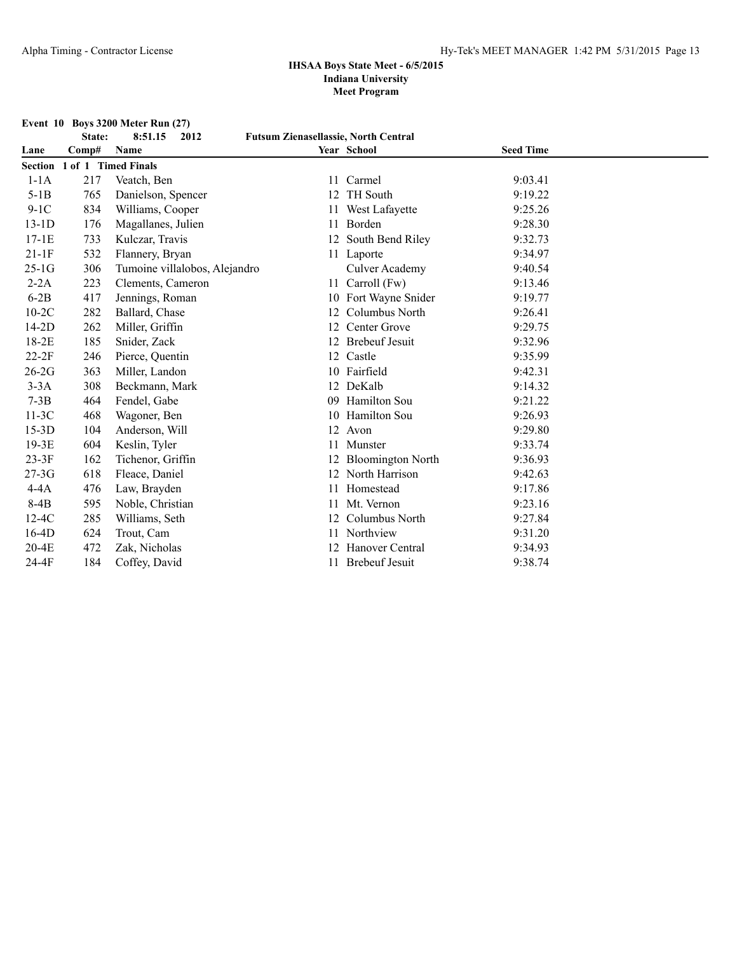**Event 10 Boys 3200 Meter Run (27)**<br>**State:** 8:51.15 2012

|           | State:              | 8:51.15<br>2012               | <b>Futsum Zienasellassie, North Central</b> |                          |                  |  |
|-----------|---------------------|-------------------------------|---------------------------------------------|--------------------------|------------------|--|
| Lane      | Comp#               | Name                          |                                             | Year School              | <b>Seed Time</b> |  |
| Section   | 1 of 1 Timed Finals |                               |                                             |                          |                  |  |
| $1-1A$    | 217                 | Veatch, Ben                   | 11                                          | Carmel                   | 9:03.41          |  |
| $5-1B$    | 765                 | Danielson, Spencer            | 12                                          | TH South                 | 9:19.22          |  |
| $9-1C$    | 834                 | Williams, Cooper              |                                             | West Lafayette           | 9:25.26          |  |
| $13-1D$   | 176                 | Magallanes, Julien            | 11                                          | Borden                   | 9:28.30          |  |
| $17-1E$   | 733                 | Kulczar, Travis               |                                             | South Bend Riley         | 9:32.73          |  |
| $21-1F$   | 532                 | Flannery, Bryan               |                                             | 11 Laporte               | 9:34.97          |  |
| $25-1G$   | 306                 | Tumoine villalobos, Alejandro |                                             | <b>Culver Academy</b>    | 9:40.54          |  |
| $2-2A$    | 223                 | Clements, Cameron             |                                             | 11 Carroll (Fw)          | 9:13.46          |  |
| $6-2B$    | 417                 | Jennings, Roman               | 10                                          | Fort Wayne Snider        | 9:19.77          |  |
| $10-2C$   | 282                 | Ballard, Chase                | 12                                          | Columbus North           | 9:26.41          |  |
| $14-2D$   | 262                 | Miller, Griffin               | 12                                          | Center Grove             | 9:29.75          |  |
| 18-2E     | 185                 | Snider, Zack                  |                                             | <b>Brebeuf Jesuit</b>    | 9:32.96          |  |
| $22-2F$   | 246                 | Pierce, Quentin               | 12                                          | Castle                   | 9:35.99          |  |
| $26-2G$   | 363                 | Miller, Landon                | 10                                          | Fairfield                | 9:42.31          |  |
| $3-3A$    | 308                 | Beckmann, Mark                | 12                                          | DeKalb                   | 9:14.32          |  |
| $7-3B$    | 464                 | Fendel, Gabe                  | 09                                          | Hamilton Sou             | 9:21.22          |  |
| $11-3C$   | 468                 | Wagoner, Ben                  | 10                                          | Hamilton Sou             | 9:26.93          |  |
| $15-3D$   | 104                 | Anderson, Will                | 12                                          | Avon                     | 9:29.80          |  |
| $19-3E$   | 604                 | Keslin, Tyler                 | 11                                          | Munster                  | 9:33.74          |  |
| $23-3F$   | 162                 | Tichenor, Griffin             |                                             | <b>Bloomington North</b> | 9:36.93          |  |
| $27-3G$   | 618                 | Fleace, Daniel                | 12                                          | North Harrison           | 9:42.63          |  |
| $4-4A$    | 476                 | Law, Brayden                  |                                             | Homestead                | 9:17.86          |  |
| $8-4B$    | 595                 | Noble, Christian              | 11                                          | Mt. Vernon               | 9:23.16          |  |
| $12-4C$   | 285                 | Williams, Seth                |                                             | Columbus North           | 9:27.84          |  |
| $16-4D$   | 624                 | Trout, Cam                    |                                             | Northview                | 9:31.20          |  |
| $20 - 4E$ | 472                 | Zak, Nicholas                 |                                             | Hanover Central          | 9:34.93          |  |
| 24-4F     | 184                 | Coffey, David                 | 11                                          | <b>Brebeuf Jesuit</b>    | 9:38.74          |  |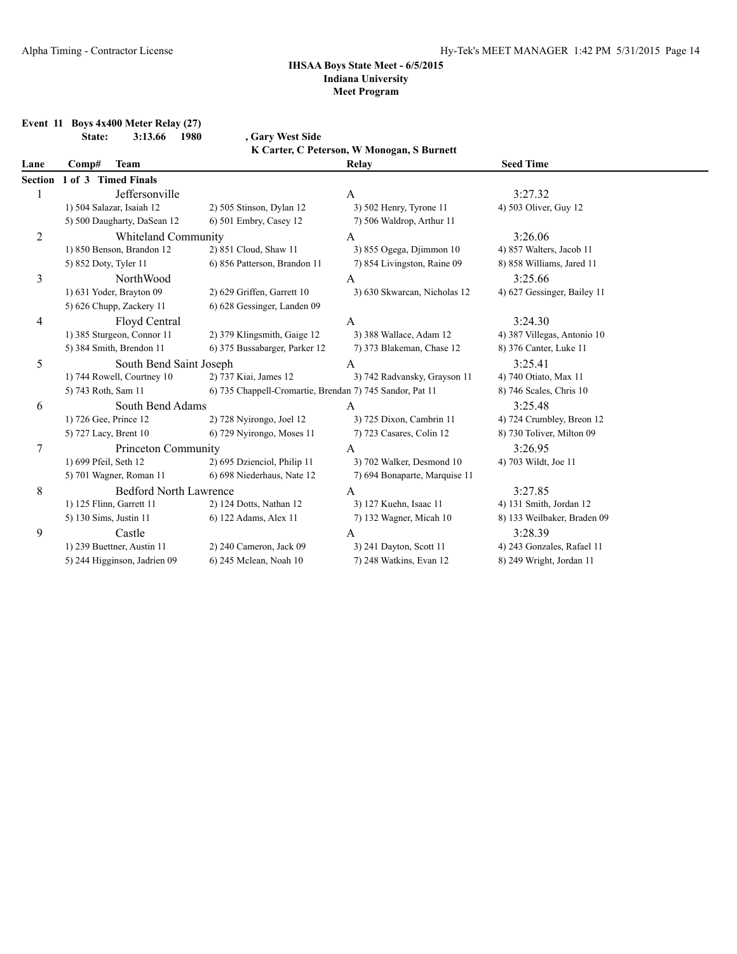**Event 11 Boys 4x400 Meter Relay (27) State: 3:13.66 1980 , Gary West Side**

**K Carter, C Peterson, W Monogan, S Burnett**

| <b>Team</b><br>Comp#         |                               | Relay                                                                                                                             | <b>Seed Time</b>                                         |
|------------------------------|-------------------------------|-----------------------------------------------------------------------------------------------------------------------------------|----------------------------------------------------------|
| Section 1 of 3 Timed Finals  |                               |                                                                                                                                   |                                                          |
| Jeffersonville               |                               | A                                                                                                                                 | 3:27.32                                                  |
| 1) 504 Salazar, Isaiah 12    | 2) 505 Stinson, Dylan 12      | 3) 502 Henry, Tyrone 11                                                                                                           | 4) 503 Oliver, Guy 12                                    |
| 5) 500 Daugharty, DaSean 12  | 6) 501 Embry, Casey 12        | 7) 506 Waldrop, Arthur 11                                                                                                         |                                                          |
|                              |                               | A                                                                                                                                 | 3:26.06                                                  |
| 1) 850 Benson, Brandon 12    | 2) 851 Cloud, Shaw 11         | 3) 855 Ogega, Djimmon 10                                                                                                          | 4) 857 Walters, Jacob 11                                 |
| 5) 852 Doty, Tyler 11        | 6) 856 Patterson, Brandon 11  | 7) 854 Livingston, Raine 09                                                                                                       | 8) 858 Williams, Jared 11                                |
| <b>NorthWood</b>             |                               | A                                                                                                                                 | 3:25.66                                                  |
| 1) 631 Yoder, Brayton 09     | 2) 629 Griffen, Garrett 10    | 3) 630 Skwarcan, Nicholas 12                                                                                                      | 4) 627 Gessinger, Bailey 11                              |
| 5) 626 Chupp, Zackery 11     | 6) 628 Gessinger, Landen 09   |                                                                                                                                   |                                                          |
| Floyd Central                |                               | A                                                                                                                                 | 3:24.30                                                  |
| 1) 385 Sturgeon, Connor 11   | 2) 379 Klingsmith, Gaige 12   | 3) 388 Wallace, Adam 12                                                                                                           | 4) 387 Villegas, Antonio 10                              |
| 5) 384 Smith, Brendon 11     | 6) 375 Bussabarger, Parker 12 | 7) 373 Blakeman, Chase 12                                                                                                         | 8) 376 Canter, Luke 11                                   |
|                              |                               |                                                                                                                                   | 3:25.41                                                  |
| 1) 744 Rowell, Courtney 10   | 2) 737 Kiai, James 12         | 3) 742 Radvansky, Grayson 11                                                                                                      | 4) 740 Otiato, Max 11                                    |
| 5) 743 Roth, Sam 11          |                               |                                                                                                                                   | 8) 746 Scales, Chris 10                                  |
|                              |                               | A                                                                                                                                 | 3:25.48                                                  |
| 1) 726 Gee, Prince 12        | 2) 728 Nyirongo, Joel 12      | 3) 725 Dixon, Cambrin 11                                                                                                          | 4) 724 Crumbley, Breon 12                                |
| 5) 727 Lacy, Brent 10        | 6) 729 Nyirongo, Moses 11     | 7) 723 Casares, Colin 12                                                                                                          | 8) 730 Toliver, Milton 09                                |
|                              |                               | A                                                                                                                                 | 3:26.95                                                  |
| 1) 699 Pfeil, Seth 12        | 2) 695 Dzienciol, Philip 11   | 3) 702 Walker, Desmond 10                                                                                                         | 4) 703 Wildt, Joe 11                                     |
| 5) 701 Wagner, Roman 11      | 6) 698 Niederhaus, Nate 12    | 7) 694 Bonaparte, Marquise 11                                                                                                     |                                                          |
|                              |                               | A                                                                                                                                 | 3:27.85                                                  |
| 1) 125 Flinn, Garrett 11     | 2) 124 Dotts, Nathan 12       | 3) 127 Kuehn, Isaac 11                                                                                                            | 4) 131 Smith, Jordan 12                                  |
| 5) 130 Sims, Justin 11       | 6) 122 Adams, Alex 11         | 7) 132 Wagner, Micah 10                                                                                                           | 8) 133 Weilbaker, Braden 09                              |
| Castle                       |                               | A                                                                                                                                 | 3:28.39                                                  |
| 1) 239 Buettner, Austin 11   | 2) 240 Cameron, Jack 09       | 3) 241 Dayton, Scott 11                                                                                                           | 4) 243 Gonzales, Rafael 11                               |
| 5) 244 Higginson, Jadrien 09 | 6) 245 Mclean, Noah 10        | 7) 248 Watkins, Evan 12                                                                                                           | 8) 249 Wright, Jordan 11                                 |
|                              |                               | <b>Whiteland Community</b><br>South Bend Saint Joseph<br>South Bend Adams<br>Princeton Community<br><b>Bedford North Lawrence</b> | 6) 735 Chappell-Cromartie, Brendan 7) 745 Sandor, Pat 11 |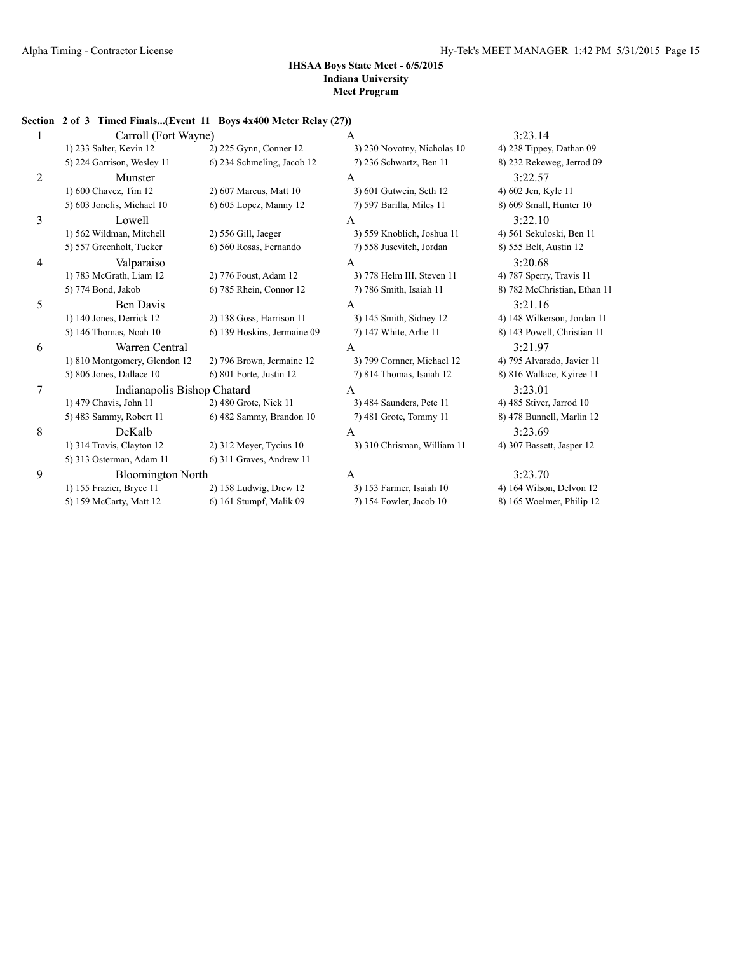#### **Section 2 of 3 Timed Finals...(Event 11 Boys 4x400 Meter Relay (27))**

| 1              | Carroll (Fort Wayne)          |                             | A                           | 3:23.14                      |
|----------------|-------------------------------|-----------------------------|-----------------------------|------------------------------|
|                | 1) 233 Salter, Kevin 12       | 2) 225 Gynn, Conner 12      | 3) 230 Novotny, Nicholas 10 | 4) 238 Tippey, Dathan 09     |
|                | 5) 224 Garrison, Wesley 11    | 6) 234 Schmeling, Jacob 12  | 7) 236 Schwartz, Ben 11     | 8) 232 Rekeweg, Jerrod 09    |
| $\overline{2}$ | Munster                       |                             | A                           | 3:22.57                      |
|                | 1) 600 Chavez, Tim 12         | 2) 607 Marcus, Matt 10      | 3) 601 Gutwein, Seth 12     | 4) 602 Jen, Kyle 11          |
|                | 5) 603 Jonelis, Michael 10    | 6) 605 Lopez, Manny 12      | 7) 597 Barilla, Miles 11    | 8) 609 Small, Hunter 10      |
| 3              | Lowell                        |                             | A                           | 3:22.10                      |
|                | 1) 562 Wildman, Mitchell      | $2)$ 556 Gill, Jaeger       | 3) 559 Knoblich, Joshua 11  | 4) 561 Sekuloski, Ben 11     |
|                | 5) 557 Greenholt, Tucker      | 6) 560 Rosas, Fernando      | 7) 558 Jusevitch, Jordan    | 8) 555 Belt, Austin 12       |
| $\overline{4}$ | Valparaiso                    |                             | A                           | 3:20.68                      |
|                | 1) 783 McGrath, Liam 12       | 2) 776 Foust, Adam 12       | 3) 778 Helm III, Steven 11  | 4) 787 Sperry, Travis 11     |
|                | 5) 774 Bond, Jakob            | 6) 785 Rhein, Connor 12     | 7) 786 Smith, Isaiah 11     | 8) 782 McChristian, Ethan 11 |
| 5              | <b>Ben Davis</b>              |                             | A                           | 3:21.16                      |
|                | 1) 140 Jones, Derrick 12      | 2) 138 Goss, Harrison 11    | 3) 145 Smith, Sidney 12     | 4) 148 Wilkerson, Jordan 11  |
|                | 5) 146 Thomas, Noah 10        | 6) 139 Hoskins, Jermaine 09 | 7) 147 White, Arlie 11      | 8) 143 Powell, Christian 11  |
| 6              | Warren Central                |                             | $\mathsf{A}$                | 3:21.97                      |
|                | 1) 810 Montgomery, Glendon 12 | 2) 796 Brown, Jermaine 12   | 3) 799 Cornner, Michael 12  | 4) 795 Alvarado, Javier 11   |
|                | 5) 806 Jones, Dallace 10      | 6) 801 Forte, Justin 12     | 7) 814 Thomas, Isaiah 12    | 8) 816 Wallace, Kyiree 11    |
| 7              | Indianapolis Bishop Chatard   |                             | A                           | 3:23.01                      |
|                | 1) 479 Chavis, John 11        | 2) 480 Grote, Nick 11       | 3) 484 Saunders, Pete 11    | 4) 485 Stiver, Jarrod 10     |
|                | 5) 483 Sammy, Robert 11       | 6) 482 Sammy, Brandon 10    | 7) 481 Grote, Tommy 11      | 8) 478 Bunnell, Marlin 12    |
| 8              | DeKalb                        |                             | A                           | 3:23.69                      |
|                | 1) 314 Travis, Clayton 12     | $2)$ 312 Meyer, Tycius 10   | 3) 310 Chrisman, William 11 | 4) 307 Bassett, Jasper 12    |
|                | 5) 313 Osterman, Adam 11      | 6) 311 Graves, Andrew 11    |                             |                              |
| 9              | <b>Bloomington North</b>      |                             | A                           | 3:23.70                      |
|                | 1) 155 Frazier, Bryce 11      | 2) 158 Ludwig, Drew 12      | 3) 153 Farmer, Isaiah 10    | 4) 164 Wilson, Delvon 12     |
|                | 5) 159 McCarty, Matt 12       | 6) 161 Stumpf, Malik 09     | 7) 154 Fowler, Jacob 10     | 8) 165 Woelmer, Philip 12    |
|                |                               |                             |                             |                              |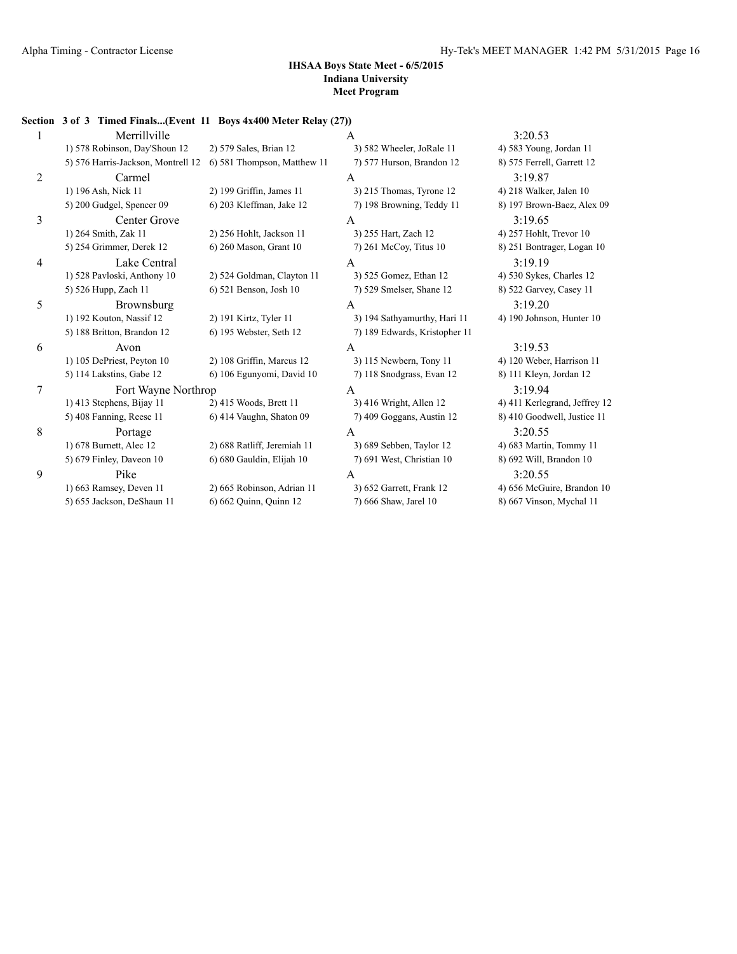#### **Section 3 of 3 Timed Finals...(Event 11 Boys 4x400 Meter Relay (27))**

| 1 | Merrillville                       |                             | $\mathsf{A}$                  | 3:20.53                       |
|---|------------------------------------|-----------------------------|-------------------------------|-------------------------------|
|   | 1) 578 Robinson, Day'Shoun 12      | 2) 579 Sales, Brian 12      | 3) 582 Wheeler, JoRale 11     | 4) 583 Young, Jordan 11       |
|   | 5) 576 Harris-Jackson, Montrell 12 | 6) 581 Thompson, Matthew 11 | 7) 577 Hurson, Brandon 12     | 8) 575 Ferrell, Garrett 12    |
| 2 | Carmel                             |                             | A                             | 3:19.87                       |
|   | 1) 196 Ash, Nick 11                | 2) 199 Griffin, James 11    | 3) 215 Thomas, Tyrone 12      | 4) 218 Walker, Jalen 10       |
|   | 5) 200 Gudgel, Spencer 09          | 6) 203 Kleffman, Jake 12    | 7) 198 Browning, Teddy 11     | 8) 197 Brown-Baez, Alex 09    |
| 3 | Center Grove                       |                             | A                             | 3:19.65                       |
|   | 1) 264 Smith, Zak 11               | 2) 256 Hohlt, Jackson 11    | 3) 255 Hart, Zach 12          | 4) 257 Hohlt, Trevor 10       |
|   | 5) 254 Grimmer, Derek 12           | 6) 260 Mason, Grant 10      | 7) 261 McCoy, Titus 10        | 8) 251 Bontrager, Logan 10    |
| 4 | Lake Central                       |                             | A                             | 3:19.19                       |
|   | 1) 528 Pavloski, Anthony 10        | 2) 524 Goldman, Clayton 11  | 3) 525 Gomez, Ethan 12        | 4) 530 Sykes, Charles 12      |
|   | 5) 526 Hupp, Zach 11               | 6) 521 Benson, Josh 10      | 7) 529 Smelser, Shane 12      | 8) 522 Garvey, Casey 11       |
| 5 | Brownsburg                         |                             | $\mathsf{A}$                  | 3:19.20                       |
|   | 1) 192 Kouton, Nassif 12           | 2) 191 Kirtz, Tyler 11      | 3) 194 Sathyamurthy, Hari 11  | 4) 190 Johnson, Hunter 10     |
|   | 5) 188 Britton, Brandon 12         | 6) 195 Webster, Seth 12     | 7) 189 Edwards, Kristopher 11 |                               |
| 6 | Avon                               |                             | A                             | 3:19.53                       |
|   | 1) 105 DePriest, Peyton 10         | 2) 108 Griffin, Marcus 12   | 3) 115 Newbern, Tony 11       | 4) 120 Weber, Harrison 11     |
|   | 5) 114 Lakstins, Gabe 12           | 6) 106 Egunyomi, David 10   | 7) 118 Snodgrass, Evan 12     | 8) 111 Kleyn, Jordan 12       |
| 7 | Fort Wayne Northrop                |                             | A                             | 3:19.94                       |
|   | 1) 413 Stephens, Bijay 11          | 2) 415 Woods, Brett 11      | 3) 416 Wright, Allen 12       | 4) 411 Kerlegrand, Jeffrey 12 |
|   | 5) 408 Fanning, Reese 11           | 6) 414 Vaughn, Shaton 09    | 7) 409 Goggans, Austin 12     | 8) 410 Goodwell, Justice 11   |
| 8 | Portage                            |                             | $\mathsf{A}$                  | 3:20.55                       |
|   | 1) 678 Burnett, Alec 12            | 2) 688 Ratliff, Jeremiah 11 | 3) 689 Sebben, Taylor 12      | 4) 683 Martin, Tommy 11       |
|   | 5) 679 Finley, Daveon 10           | 6) 680 Gauldin, Elijah 10   | 7) 691 West, Christian 10     | 8) 692 Will, Brandon 10       |
| 9 | Pike                               |                             | $\mathsf{A}$                  | 3:20.55                       |
|   | 1) 663 Ramsey, Deven 11            | 2) 665 Robinson, Adrian 11  | 3) 652 Garrett, Frank 12      | 4) 656 McGuire, Brandon 10    |
|   | 5) 655 Jackson, DeShaun 11         | 6) 662 Quinn, Quinn 12      | 7) 666 Shaw, Jarel 10         | 8) 667 Vinson, Mychal 11      |
|   |                                    |                             |                               |                               |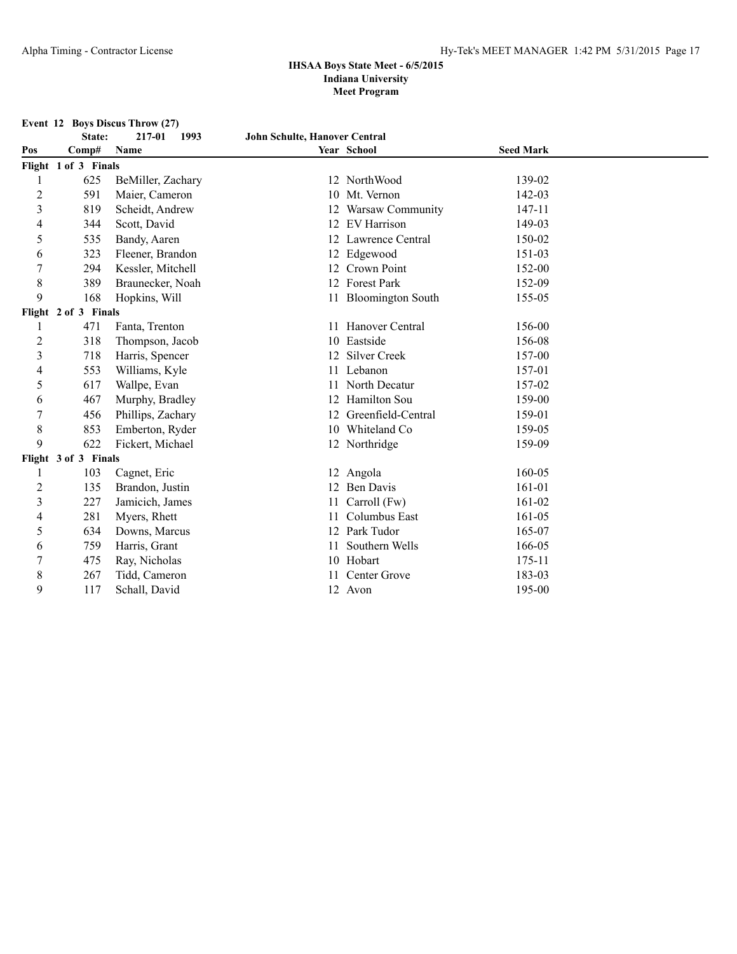**Event 12 Boys Discus Throw (27)**<br>**State:** 217-01 1993

|                | State:               | 217-01<br>1993    | John Schulte, Hanover Central |                        |                  |  |
|----------------|----------------------|-------------------|-------------------------------|------------------------|------------------|--|
| Pos            | Comp#                | Name              |                               | Year School            | <b>Seed Mark</b> |  |
|                | Flight 1 of 3 Finals |                   |                               |                        |                  |  |
|                | 625                  | BeMiller, Zachary |                               | 12 NorthWood           | 139-02           |  |
| $\overline{c}$ | 591                  | Maier, Cameron    | 10                            | Mt. Vernon             | 142-03           |  |
| 3              | 819                  | Scheidt, Andrew   | 12                            | Warsaw Community       | 147-11           |  |
| 4              | 344                  | Scott, David      |                               | 12 EV Harrison         | 149-03           |  |
| 5              | 535                  | Bandy, Aaren      |                               | 12 Lawrence Central    | 150-02           |  |
| 6              | 323                  | Fleener, Brandon  |                               | 12 Edgewood            | 151-03           |  |
| 7              | 294                  | Kessler, Mitchell |                               | 12 Crown Point         | 152-00           |  |
| 8              | 389                  | Braunecker, Noah  |                               | 12 Forest Park         | 152-09           |  |
| 9              | 168                  | Hopkins, Will     |                               | 11 Bloomington South   | 155-05           |  |
|                | Flight 2 of 3 Finals |                   |                               |                        |                  |  |
|                | 471                  | Fanta, Trenton    | 11.                           | <b>Hanover Central</b> | 156-00           |  |
| $\overline{c}$ | 318                  | Thompson, Jacob   |                               | 10 Eastside            | 156-08           |  |
| $\overline{3}$ | 718                  | Harris, Spencer   |                               | 12 Silver Creek        | 157-00           |  |
| 4              | 553                  | Williams, Kyle    | 11                            | Lebanon                | 157-01           |  |
| 5              | 617                  | Wallpe, Evan      |                               | North Decatur          | 157-02           |  |
| 6              | 467                  | Murphy, Bradley   |                               | 12 Hamilton Sou        | 159-00           |  |
| 7              | 456                  | Phillips, Zachary |                               | 12 Greenfield-Central  | 159-01           |  |
| 8              | 853                  | Emberton, Ryder   |                               | 10 Whiteland Co        | 159-05           |  |
| 9              | 622                  | Fickert, Michael  |                               | 12 Northridge          | 159-09           |  |
|                | Flight 3 of 3 Finals |                   |                               |                        |                  |  |
|                | 103                  | Cagnet, Eric      |                               | 12 Angola              | 160-05           |  |
| $\overline{2}$ | 135                  | Brandon, Justin   |                               | 12 Ben Davis           | 161-01           |  |
| 3              | 227                  | Jamicich, James   | 11                            | Carroll (Fw)           | 161-02           |  |
| 4              | 281                  | Myers, Rhett      | 11                            | Columbus East          | 161-05           |  |
| 5              | 634                  | Downs, Marcus     |                               | 12 Park Tudor          | 165-07           |  |
| 6              | 759                  | Harris, Grant     | 11                            | Southern Wells         | 166-05           |  |
| 7              | 475                  | Ray, Nicholas     |                               | 10 Hobart              | 175-11           |  |
| 8              | 267                  | Tidd, Cameron     |                               | Center Grove           | 183-03           |  |
| 9              | 117                  | Schall, David     |                               | 12 Avon                | 195-00           |  |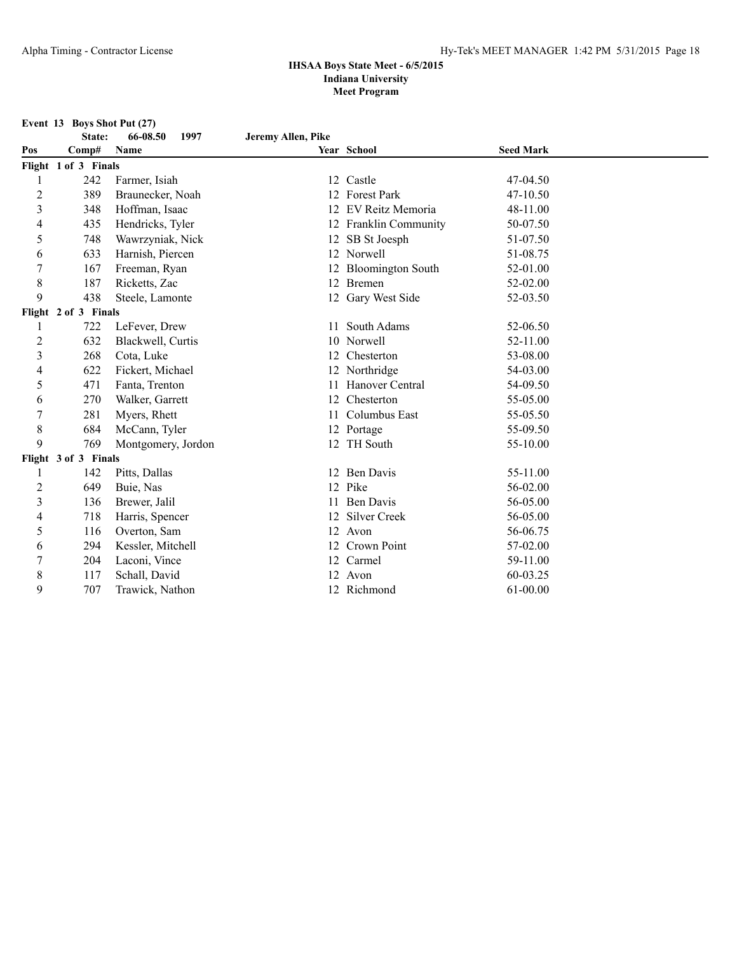**Event 13 Boys Shot Put (27)**

**State: 66-08.50 1997 Jeremy Allen, Pike**

| Pos            | Comp#                | Name               |    | Year School           | <b>Seed Mark</b> |  |
|----------------|----------------------|--------------------|----|-----------------------|------------------|--|
|                | Flight 1 of 3 Finals |                    |    |                       |                  |  |
|                | 242                  | Farmer, Isiah      |    | 12 Castle             | 47-04.50         |  |
| $\overline{c}$ | 389                  | Braunecker, Noah   |    | 12 Forest Park        | 47-10.50         |  |
| $\mathfrak{Z}$ | 348                  | Hoffman, Isaac     |    | 12 EV Reitz Memoria   | 48-11.00         |  |
| 4              | 435                  | Hendricks, Tyler   |    | 12 Franklin Community | 50-07.50         |  |
| 5              | 748                  | Wawrzyniak, Nick   |    | 12 SB St Joesph       | 51-07.50         |  |
| 6              | 633                  | Harnish, Piercen   |    | 12 Norwell            | 51-08.75         |  |
| 7              | 167                  | Freeman, Ryan      |    | 12 Bloomington South  | 52-01.00         |  |
| 8              | 187                  | Ricketts, Zac      |    | 12 Bremen             | 52-02.00         |  |
| 9              | 438                  | Steele, Lamonte    |    | 12 Gary West Side     | 52-03.50         |  |
|                | Flight 2 of 3 Finals |                    |    |                       |                  |  |
| 1              | 722                  | LeFever, Drew      | 11 | South Adams           | 52-06.50         |  |
| $\overline{c}$ | 632                  | Blackwell, Curtis  |    | 10 Norwell            | 52-11.00         |  |
| $\mathfrak{Z}$ | 268                  | Cota, Luke         |    | 12 Chesterton         | 53-08.00         |  |
| 4              | 622                  | Fickert, Michael   |    | 12 Northridge         | 54-03.00         |  |
| 5              | 471                  | Fanta, Trenton     | 11 | Hanover Central       | 54-09.50         |  |
| 6              | 270                  | Walker, Garrett    |    | 12 Chesterton         | 55-05.00         |  |
| 7              | 281                  | Myers, Rhett       | 11 | Columbus East         | 55-05.50         |  |
| 8              | 684                  | McCann, Tyler      |    | 12 Portage            | 55-09.50         |  |
| 9              | 769                  | Montgomery, Jordon |    | 12 TH South           | 55-10.00         |  |
|                | Flight 3 of 3 Finals |                    |    |                       |                  |  |
|                | 142                  | Pitts, Dallas      |    | 12 Ben Davis          | 55-11.00         |  |
| $\overline{c}$ | 649                  | Buie, Nas          |    | 12 Pike               | 56-02.00         |  |
| $\mathfrak{Z}$ | 136                  | Brewer, Jalil      | 11 | <b>Ben Davis</b>      | 56-05.00         |  |
| 4              | 718                  | Harris, Spencer    |    | 12 Silver Creek       | 56-05.00         |  |
| 5              | 116                  | Overton, Sam       |    | 12 Avon               | 56-06.75         |  |
| 6              | 294                  | Kessler, Mitchell  |    | 12 Crown Point        | 57-02.00         |  |
| 7              | 204                  | Laconi, Vince      |    | 12 Carmel             | 59-11.00         |  |
| 8              | 117                  | Schall, David      |    | 12 Avon               | 60-03.25         |  |
| 9              | 707                  | Trawick, Nathon    |    | 12 Richmond           | 61-00.00         |  |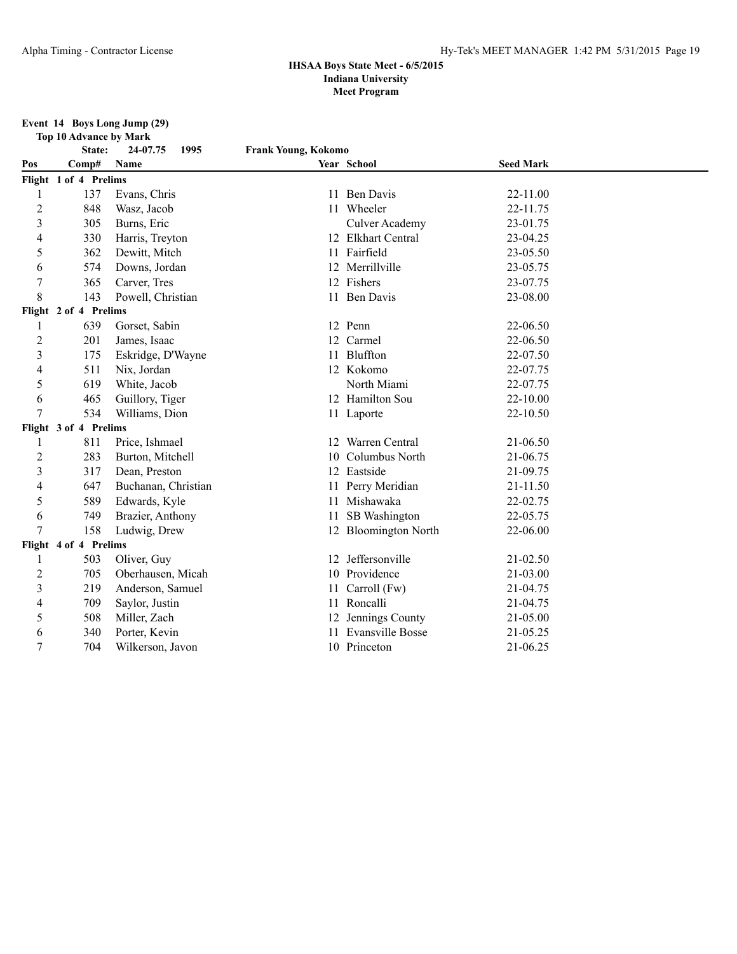#### **Event 14 Boys Long Jump (29)**

|                | Top 10 Advance by Mark |                     |                            |                         |                  |  |
|----------------|------------------------|---------------------|----------------------------|-------------------------|------------------|--|
|                | State:                 | 24-07.75<br>1995    | <b>Frank Young, Kokomo</b> |                         |                  |  |
| Pos            | Comp#                  | Name                |                            | Year School             | <b>Seed Mark</b> |  |
|                | Flight 1 of 4 Prelims  |                     |                            |                         |                  |  |
|                | 137                    | Evans, Chris        |                            | 11 Ben Davis            | 22-11.00         |  |
| $\overline{c}$ | 848                    | Wasz, Jacob         | 11                         | Wheeler                 | 22-11.75         |  |
| 3              | 305                    | Burns, Eric         |                            | <b>Culver Academy</b>   | 23-01.75         |  |
| 4              | 330                    | Harris, Treyton     |                            | 12 Elkhart Central      | 23-04.25         |  |
| 5              | 362                    | Dewitt, Mitch       |                            | 11 Fairfield            | 23-05.50         |  |
| 6              | 574                    | Downs, Jordan       |                            | 12 Merrillville         | 23-05.75         |  |
| $\overline{7}$ | 365                    | Carver, Tres        |                            | 12 Fishers              | 23-07.75         |  |
| 8              | 143                    | Powell, Christian   |                            | 11 Ben Davis            | 23-08.00         |  |
|                | Flight 2 of 4 Prelims  |                     |                            |                         |                  |  |
| 1              | 639                    | Gorset, Sabin       |                            | 12 Penn                 | 22-06.50         |  |
| $\overline{c}$ | 201                    | James, Isaac        |                            | 12 Carmel               | 22-06.50         |  |
| 3              | 175                    | Eskridge, D'Wayne   |                            | 11 Bluffton             | 22-07.50         |  |
| 4              | 511                    | Nix, Jordan         |                            | 12 Kokomo               | 22-07.75         |  |
| 5              | 619                    | White, Jacob        |                            | North Miami             | 22-07.75         |  |
| 6              | 465                    | Guillory, Tiger     |                            | 12 Hamilton Sou         | 22-10.00         |  |
| 7              | 534                    | Williams, Dion      |                            | 11 Laporte              | 22-10.50         |  |
|                | Flight 3 of 4 Prelims  |                     |                            |                         |                  |  |
|                | 811                    | Price, Ishmael      |                            | 12 Warren Central       | 21-06.50         |  |
| $\overline{2}$ | 283                    | Burton, Mitchell    | 10                         | Columbus North          | 21-06.75         |  |
| 3              | 317                    | Dean, Preston       |                            | 12 Eastside             | 21-09.75         |  |
| 4              | 647                    | Buchanan, Christian |                            | 11 Perry Meridian       | 21-11.50         |  |
| 5              | 589                    | Edwards, Kyle       |                            | 11 Mishawaka            | 22-02.75         |  |
| 6              | 749                    | Brazier, Anthony    | 11                         | SB Washington           | 22-05.75         |  |
| 7              | 158                    | Ludwig, Drew        |                            | 12 Bloomington North    | 22-06.00         |  |
|                | Flight 4 of 4 Prelims  |                     |                            |                         |                  |  |
| -1             | 503                    | Oliver, Guy         | 12                         | Jeffersonville          | 21-02.50         |  |
| $\overline{2}$ | 705                    | Oberhausen, Micah   | 10                         | Providence              | 21-03.00         |  |
| 3              | 219                    | Anderson, Samuel    | 11                         | Carroll (Fw)            | 21-04.75         |  |
| 4              | 709                    | Saylor, Justin      |                            | 11 Roncalli             | 21-04.75         |  |
| 5              | 508                    | Miller, Zach        |                            | 12 Jennings County      | 21-05.00         |  |
| 6              | 340                    | Porter, Kevin       | 11                         | <b>Evansville Bosse</b> | 21-05.25         |  |
| 7              | 704                    | Wilkerson, Javon    |                            | 10 Princeton            | 21-06.25         |  |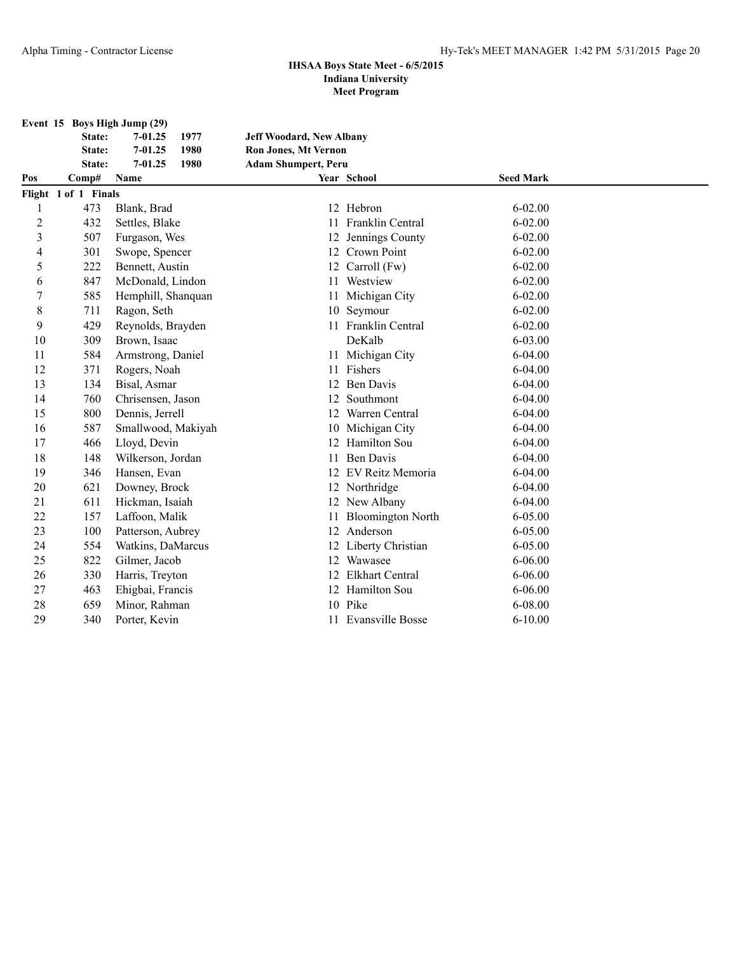| Event 15 Boys High Jump (29) |                      |                     |                                 |                      |                  |  |
|------------------------------|----------------------|---------------------|---------------------------------|----------------------|------------------|--|
|                              | State:               | 1977<br>$7 - 01.25$ | <b>Jeff Woodard, New Albany</b> |                      |                  |  |
|                              | State:               | $7 - 01.25$<br>1980 | Ron Jones, Mt Vernon            |                      |                  |  |
|                              | State:               | 1980<br>$7 - 01.25$ | <b>Adam Shumpert, Peru</b>      |                      |                  |  |
| Pos                          | Comp#                | Name                |                                 | Year School          | <b>Seed Mark</b> |  |
|                              | Flight 1 of 1 Finals |                     |                                 |                      |                  |  |
| 1                            | 473                  | Blank, Brad         |                                 | 12 Hebron            | $6 - 02.00$      |  |
| $\sqrt{2}$                   | 432                  | Settles, Blake      |                                 | 11 Franklin Central  | $6 - 02.00$      |  |
| 3                            | 507                  | Furgason, Wes       |                                 | 12 Jennings County   | $6 - 02.00$      |  |
| 4                            | 301                  | Swope, Spencer      | 12                              | Crown Point          | $6 - 02.00$      |  |
| 5                            | 222                  | Bennett, Austin     | 12                              | Carroll (Fw)         | $6 - 02.00$      |  |
| 6                            | 847                  | McDonald, Lindon    |                                 | 11 Westview          | $6 - 02.00$      |  |
| $\overline{7}$               | 585                  | Hemphill, Shanquan  |                                 | 11 Michigan City     | $6 - 02.00$      |  |
| 8                            | 711                  | Ragon, Seth         |                                 | 10 Seymour           | $6 - 02.00$      |  |
| 9                            | 429                  | Reynolds, Brayden   |                                 | 11 Franklin Central  | $6 - 02.00$      |  |
| 10                           | 309                  | Brown, Isaac        |                                 | DeKalb               | 6-03.00          |  |
| 11                           | 584                  | Armstrong, Daniel   |                                 | 11 Michigan City     | $6 - 04.00$      |  |
| 12                           | 371                  | Rogers, Noah        |                                 | 11 Fishers           | $6-04.00$        |  |
| 13                           | 134                  | Bisal, Asmar        |                                 | 12 Ben Davis         | $6 - 04.00$      |  |
| 14                           | 760                  | Chrisensen, Jason   |                                 | 12 Southmont         | $6 - 04.00$      |  |
| 15                           | 800                  | Dennis, Jerrell     |                                 | 12 Warren Central    | $6 - 04.00$      |  |
| 16                           | 587                  | Smallwood, Makiyah  |                                 | 10 Michigan City     | $6 - 04.00$      |  |
| 17                           | 466                  | Lloyd, Devin        | 12                              | Hamilton Sou         | $6 - 04.00$      |  |
| 18                           | 148                  | Wilkerson, Jordan   | 11                              | <b>Ben Davis</b>     | $6 - 04.00$      |  |
| 19                           | 346                  | Hansen, Evan        |                                 | 12 EV Reitz Memoria  | $6 - 04.00$      |  |
| 20                           | 621                  | Downey, Brock       |                                 | 12 Northridge        | $6 - 04.00$      |  |
| 21                           | 611                  | Hickman, Isaiah     |                                 | 12 New Albany        | $6 - 04.00$      |  |
| 22                           | 157                  | Laffoon, Malik      |                                 | 11 Bloomington North | 6-05.00          |  |
| 23                           | 100                  | Patterson, Aubrey   |                                 | 12 Anderson          | 6-05.00          |  |
| 24                           | 554                  | Watkins, DaMarcus   | 12                              | Liberty Christian    | 6-05.00          |  |
| 25                           | 822                  | Gilmer, Jacob       |                                 | 12 Wawasee           | $6 - 06.00$      |  |
| 26                           | 330                  | Harris, Treyton     |                                 | 12 Elkhart Central   | 6-06.00          |  |
| 27                           | 463                  | Ehigbai, Francis    |                                 | 12 Hamilton Sou      | $6 - 06.00$      |  |
| 28                           | 659                  | Minor, Rahman       |                                 | 10 Pike              | 6-08.00          |  |
| 29                           | 340                  | Porter, Kevin       |                                 | 11 Evansville Bosse  | $6 - 10.00$      |  |